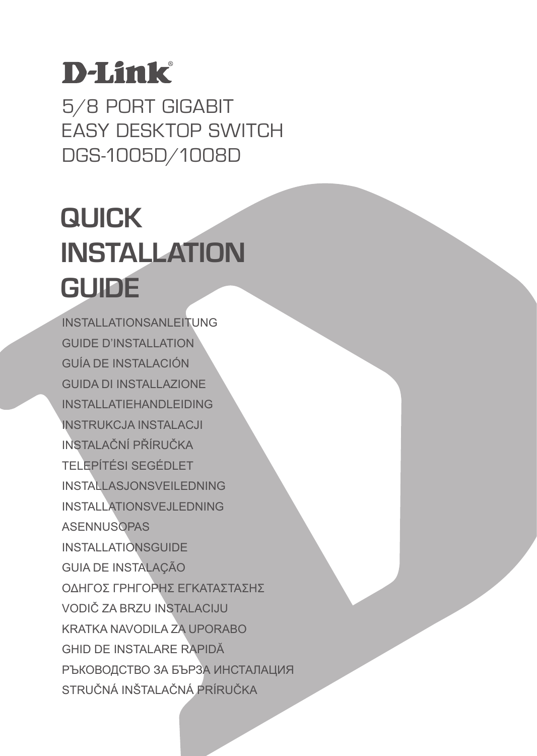## **D-Link**

5/8 PORT GIGABIT EASY DESKTOP SWITCH DGS-1005D/1008D

## **QUICK INSTALLATION GUIDE**

INSTALLATIONSANLEITUNG GUIDE D'INSTALLATION GUÍA DE INSTALACIÓN GUIDA DI INSTALLAZIONE INSTALL ATIFHANDL FIDING INSTRUKCJA INSTALACJI INSTALAČNÍ PŘÍRUČKA TELEPÍTÉSI SEGÉDLET INSTALLASJONSVEILEDNING INSTALLATIONSVEJLEDNING ASENNUSOPAS INSTALLATIONSGUIDE GUIA DE INSTALAÇÃO ΟΔΗΓΟΣ ΓΡΗΓΟΡΗΣ ΕΓΚΑΤΑΣΤΑΣΗΣ VODIČ ZA BRZU INSTALACIJU KRATKA NAVODILA ZA UPORABO GHID DE INSTALARE RAPIDĂ РЪКОВОДСТВО ЗА БЪРЗА ИНСТАЛАЦИЯ STRUČNÁ INŠTALAČNÁ PRÍRUČKA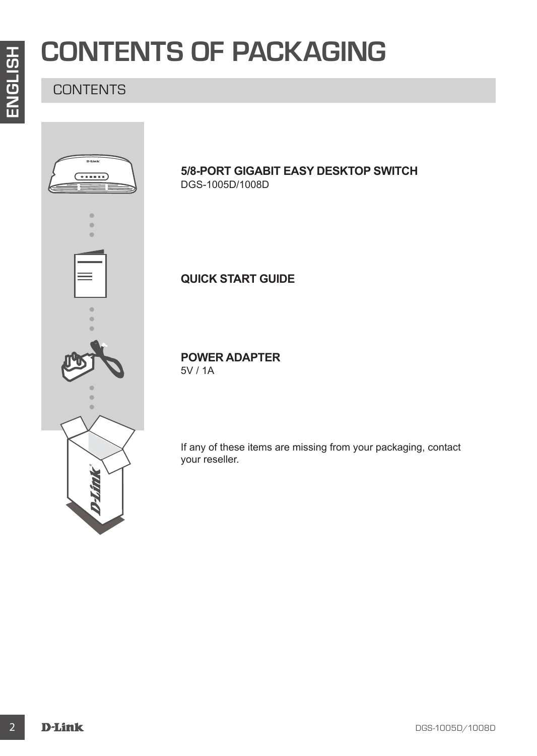## **CONTENTS OF PACKAGING**

### **CONTENTS**



#### **5/8-PORT GIGABIT EASY DESKTOP SWITCH** DGS-1005D/1008D

**QUICK START GUIDE**

**POWER ADAPTER**

5V / 1A

If any of these items are missing from your packaging, contact your reseller.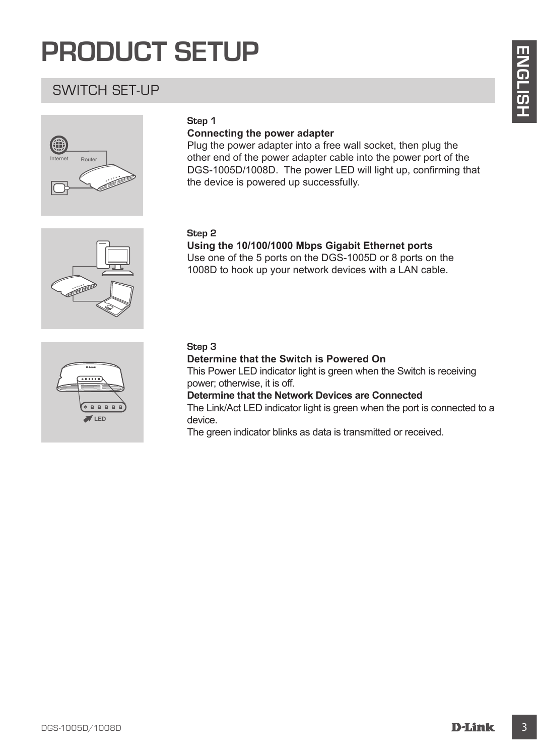## **PRODUCT SETUP**

### SWITCH SET-UP



#### **Step 1**

#### **Connecting the power adapter**

Plug the power adapter into a free wall socket, then plug the other end of the power adapter cable into the power port of the DGS-1005D/1008D. The power LED will light up, confirming that the device is powered up successfully.

#### **Step 2**

**Using the 10/100/1000 Mbps Gigabit Ethernet ports**

Use one of the 5 ports on the DGS-1005D or 8 ports on the 1008D to hook up your network devices with a LAN cable.



#### **Step 3**

**EXAMPLE SET UPP**<br>
SWITCH SET-UP<br>
Step 1<br>
Connecting the power adapter<br>
Connecting the power adapter<br>
of the prior and point of the wall societies in the mean of the power profits of the power and of the power and of the **Determine that the Switch is Powered On** This Power LED indicator light is green when the Switch is receiving power; otherwise, it is off. **Determine that the Network Devices are Connected**

The Link/Act LED indicator light is green when the port is connected to a device.

The green indicator blinks as data is transmitted or received.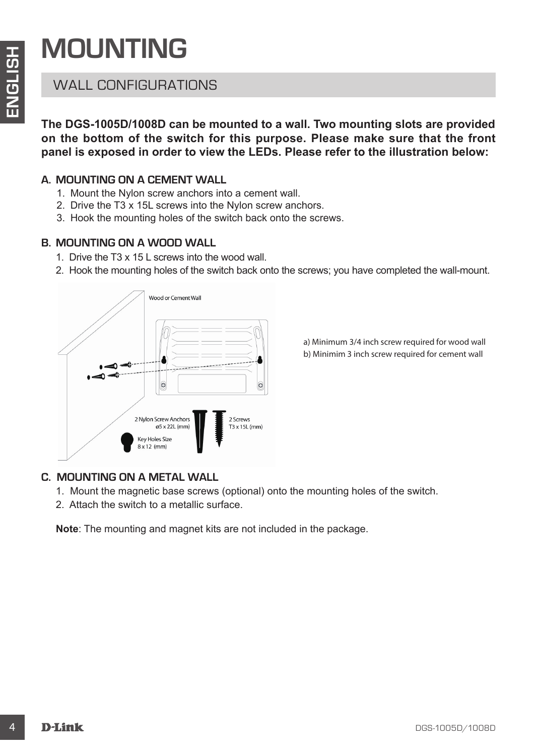## **MOUNTING**

## WALL CONFIGURATIONS

**The DGS-1005D/1008D can be mounted to a wall. Two mounting slots are provided on the bottom of the switch for this purpose. Please make sure that the front panel is exposed in order to view the LEDs. Please refer to the illustration below:**

### **A. MOUNTING ON A CEMENT WALL**

- 1. Mount the Nylon screw anchors into a cement wall.
- 2. Drive the T3 x 15L screws into the Nylon screw anchors.
- 3. Hook the mounting holes of the switch back onto the screws.

### **B. MOUNTING ON A WOOD WALL**

- 1. Drive the T3 x 15 L screws into the wood wall.
- 2. Hook the mounting holes of the switch back onto the screws; you have completed the wall-mount.



a) Minimum 3/4 inch screw required for wood wall b) Minimim 3 inch screw required for cement wall

### **C. MOUNTING ON A METAL WALL**

- 1. Mount the magnetic base screws (optional) onto the mounting holes of the switch.
- 2. Attach the switch to a metallic surface.

**Note**: The mounting and magnet kits are not included in the package.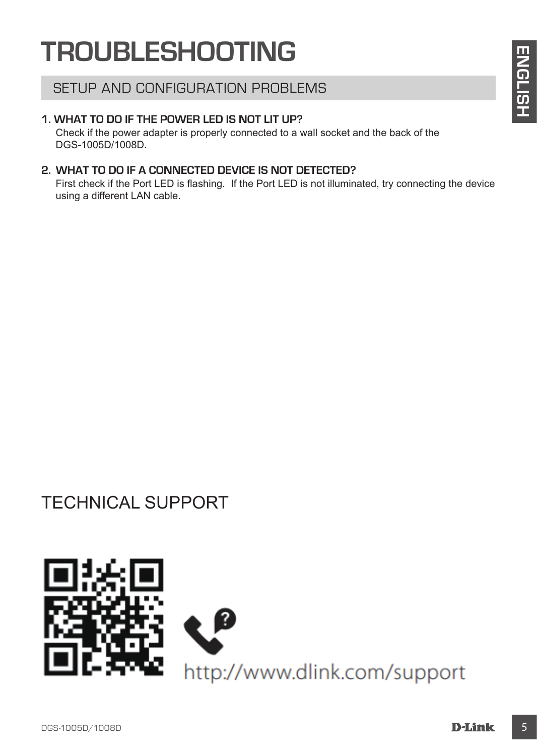## **TROUBLESHOOTING**

### SETUP AND CONFIGURATION PROBLEMS

#### **1. WHAT TO DO IF THE POWER LED IS NOT LIT UP?**

Check if the power adapter is properly connected to a wall socket and the back of the DGS-1005D/1008D.

#### **2. WHAT TO DO IF A CONNECTED DEVICE IS NOT DETECTED?**

First check if the Port LED is flashing. If the Port LED is not illuminated, try connecting the device using a different LAN cable.

## TECHNICAL SUPPORT

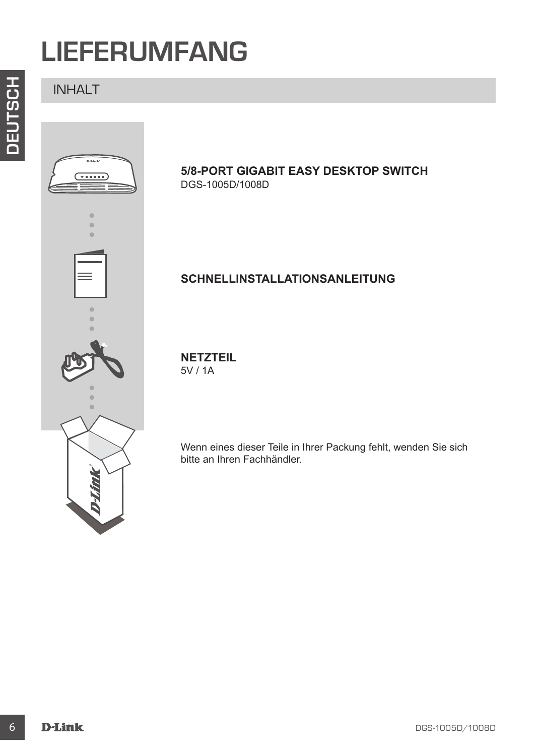## **LIEFERUMFANG**

INHALT



#### **5/8-PORT GIGABIT EASY DESKTOP SWITCH** DGS-1005D/1008D

### **SCHNELLINSTALLATIONSANLEITUNG**

**NETZTEIL** 5V / 1A

Wenn eines dieser Teile in Ihrer Packung fehlt, wenden Sie sich bitte an Ihren Fachhändler.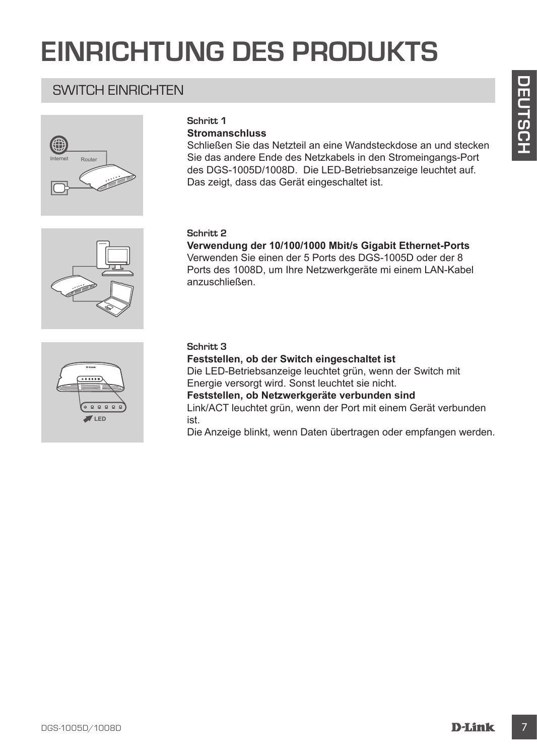## **EINRICHTUNG DES PRODUKTS**

### SWITCH EINRICHTEN



#### **Schritt 1**

#### **Stromanschluss**

Schließen Sie das Netzteil an eine Wandsteckdose an und stecken Sie das andere Ende des Netzkabels in den Stromeingangs-Port des DGS-1005D/1008D. Die LED-Betriebsanzeige leuchtet auf. Das zeigt, dass das Gerät eingeschaltet ist.

#### **Schritt 2**

**Verwendung der 10/100/1000 Mbit/s Gigabit Ethernet-Ports** Verwenden Sie einen der 5 Ports des DGS-1005D oder der 8 Ports des 1008D, um Ihre Netzwerkgeräte mi einem LAN-Kabel anzuschließen.



#### **Schritt 3**

SWITCH EINRICHTEN<br>
Stromanschluss<br>
Stromanschluss<br>
Stromanschluss<br>
Ste das andere Ende des Netzkabels in den Stromeingangs-Port<br>
Des clois -1005D/1000D. Die LED einerstandenis<br>
Des clois Christensaregie einzitet auf.<br>
Ster **Feststellen, ob der Switch eingeschaltet ist** Die LED-Betriebsanzeige leuchtet grün, wenn der Switch mit Energie versorgt wird. Sonst leuchtet sie nicht. **Feststellen, ob Netzwerkgeräte verbunden sind** Link/ACT leuchtet grün, wenn der Port mit einem Gerät verbunden ist. Die Anzeige blinkt, wenn Daten übertragen oder empfangen werden.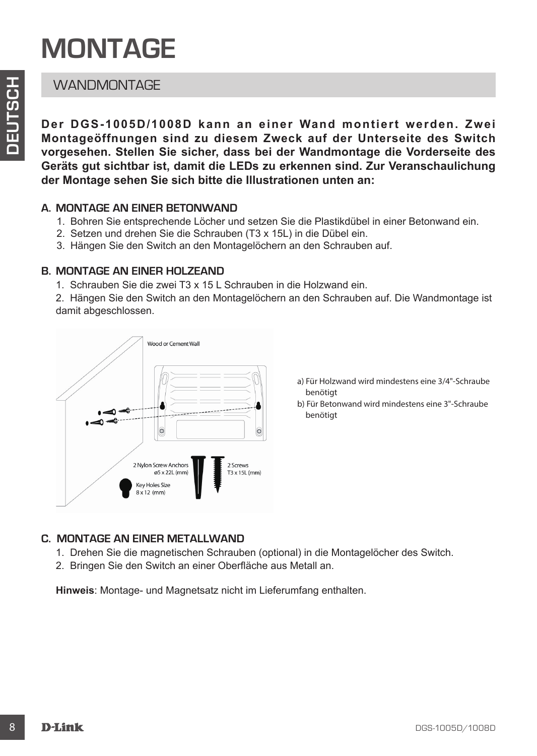## **MONTAGE**

### **WANDMONTAGE**

**Der DGS-1005D/1008D kann an einer Wand montiert werden. Zwei Montageöffnungen sind zu diesem Zweck auf der Unterseite des Switch vorgesehen. Stellen Sie sicher, dass bei der Wandmontage die Vorderseite des Geräts gut sichtbar ist, damit die LEDs zu erkennen sind. Zur Veranschaulichung der Montage sehen Sie sich bitte die Illustrationen unten an:**

#### **A. MONTAGE AN EINER BETONWAND**

- 1. Bohren Sie entsprechende Löcher und setzen Sie die Plastikdübel in einer Betonwand ein.
- 2. Setzen und drehen Sie die Schrauben (T3 x 15L) in die Dübel ein.
- 3. Hängen Sie den Switch an den Montagelöchern an den Schrauben auf.

#### **B. MONTAGE AN EINER HOLZEAND**

1. Schrauben Sie die zwei T3 x 15 L Schrauben in die Holzwand ein.

2. Hängen Sie den Switch an den Montagelöchern an den Schrauben auf. Die Wandmontage ist damit abgeschlossen.



a) Für Holzwand wird mindestens eine 3/4"-Schraube benötigt

b) Für Betonwand wird mindestens eine 3"-Schraube benötigt

#### **C. MONTAGE AN EINER METALLWAND**

- 1. Drehen Sie die magnetischen Schrauben (optional) in die Montagelöcher des Switch.
- 2. Bringen Sie den Switch an einer Oberfläche aus Metall an.

**Hinweis**: Montage- und Magnetsatz nicht im Lieferumfang enthalten.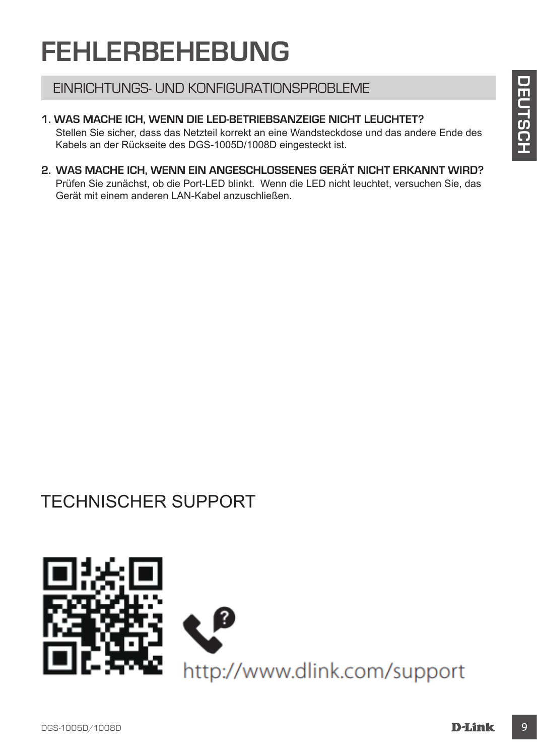## **FEHLERBEHEBUNG**

#### EINRICHTUNGS- UND KONFIGURATIONSPROBLEME

**1. WAS MACHE ICH, WENN DIE LED-BETRIEBSANZEIGE NICHT LEUCHTET?** Stellen Sie sicher, dass das Netzteil korrekt an eine Wandsteckdose und das andere Ende des Kabels an der Rückseite des DGS-1005D/1008D eingesteckt ist.

**2. WAS MACHE ICH, WENN EIN ANGESCHLOSSENES GERÄT NICHT ERKANNT WIRD?** Prüfen Sie zunächst, ob die Port-LED blinkt. Wenn die LED nicht leuchtet, versuchen Sie, das Gerät mit einem anderen LAN-Kabel anzuschließen.

## TECHNISCHER SUPPORT

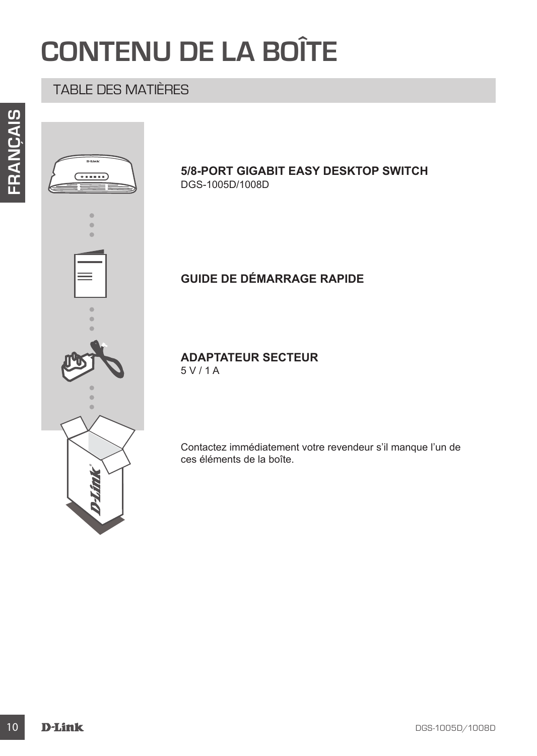## **CONTENU DE LA BOÎTE**

## TABLE DES MATIÈRES



#### **5/8-PORT GIGABIT EASY DESKTOP SWITCH** DGS-1005D/1008D

## **GUIDE DE DÉMARRAGE RAPIDE**

**ADAPTATEUR SECTEUR** 5 V / 1 A

Contactez immédiatement votre revendeur s'il manque l'un de ces éléments de la boîte.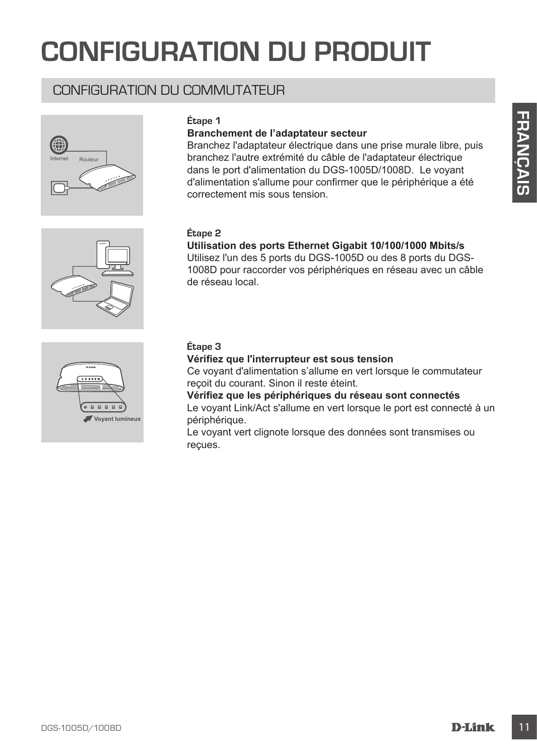## **CONFIGURATION DU PRODUIT**

### CONFIGURATION DU COMMUTATEUR







#### **Branchement de l'adaptateur secteur**

Experiment de l'adaptateur secteur<br>
Branchement de l'adaptateur secteur<br>
Branchement de l'adaptateur secteur<br>
Sumchar Français du cable de l'adaptateur déscriptes<br>
d'alimentation s'alimente du cable de l'adaptateur déscrip Branchez l'adaptateur électrique dans une prise murale libre, puis branchez l'autre extrémité du câble de l'adaptateur électrique dans le port d'alimentation du DGS-1005D/1008D. Le voyant d'alimentation s'allume pour confirmer que le périphérique a été correctement mis sous tension.

#### **Étape 2**

### **Utilisation des ports Ethernet Gigabit 10/100/1000 Mbits/s**

Utilisez l'un des 5 ports du DGS-1005D ou des 8 ports du DGS-1008D pour raccorder vos périphériques en réseau avec un câble de réseau local.



#### **Étape 3**

#### **Vérifiez que l'interrupteur est sous tension**

Ce voyant d'alimentation s'allume en vert lorsque le commutateur reçoit du courant. Sinon il reste éteint.

**Vérifiez que les périphériques du réseau sont connectés** Le voyant Link/Act s'allume en vert lorsque le port est connecté à un périphérique.

Le voyant vert clignote lorsque des données sont transmises ou reçues.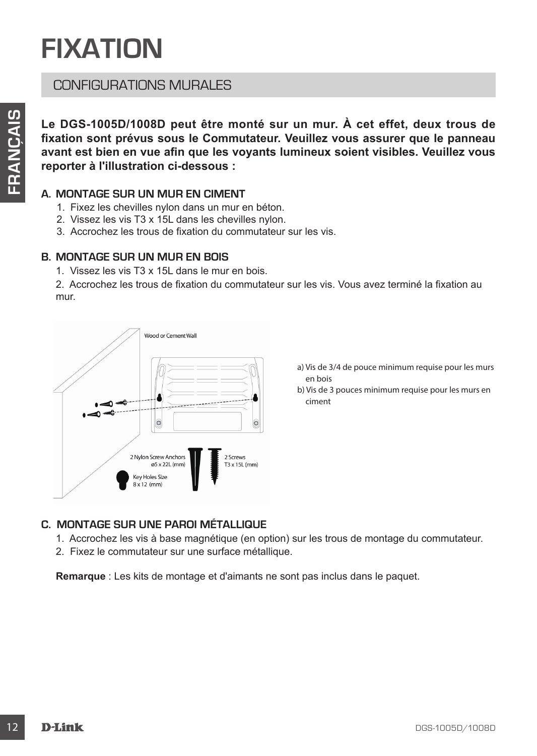## **FIXATION**

### CONFIGURATIONS MURALES

**Le DGS-1005D/1008D peut être monté sur un mur. À cet effet, deux trous de fixation sont prévus sous le Commutateur. Veuillez vous assurer que le panneau avant est bien en vue afin que les voyants lumineux soient visibles. Veuillez vous reporter à l'illustration ci-dessous :**

#### **A. MONTAGE SUR UN MUR EN CIMENT**

- 1. Fixez les chevilles nylon dans un mur en béton.
- 2. Vissez les vis T3 x 15L dans les chevilles nylon.
- 3. Accrochez les trous de fixation du commutateur sur les vis.

#### **B. MONTAGE SUR UN MUR EN BOIS**

1. Vissez les vis T3 x 15L dans le mur en bois.

2. Accrochez les trous de fixation du commutateur sur les vis. Vous avez terminé la fixation au mur.



- a) Vis de 3/4 de pouce minimum requise pour les murs en bois
- b) Vis de 3 pouces minimum requise pour les murs en ciment

#### **C. MONTAGE SUR UNE PAROI MÉTALLIQUE**

- 1. Accrochez les vis à base magnétique (en option) sur les trous de montage du commutateur.
- 2. Fixez le commutateur sur une surface métallique.

**Remarque** : Les kits de montage et d'aimants ne sont pas inclus dans le paquet.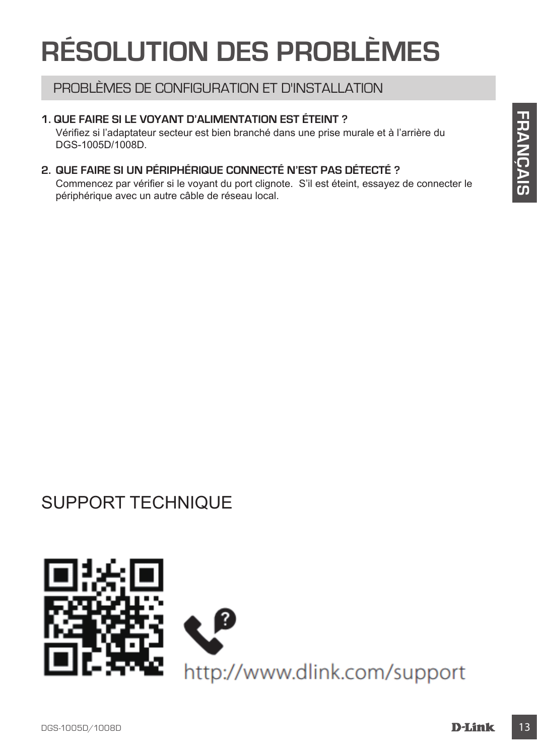## **RÉSOLUTION DES PROBLÈMES**

### PROBLÈMES DE CONFIGURATION ET D'INSTALLATION

#### **1. QUE FAIRE SI LE VOYANT D'ALIMENTATION EST ÉTEINT ?**

Vérifiez si l'adaptateur secteur est bien branché dans une prise murale et à l'arrière du DGS-1005D/1008D.

### **2. QUE FAIRE SI UN PÉRIPHÉRIQUE CONNECTÉ N'EST PAS DÉTECTÉ ?**

Commencez par vérifier si le voyant du port clignote. S'il est éteint, essayez de connecter le périphérique avec un autre câble de réseau local.

## SUPPORT TECHNIQUE

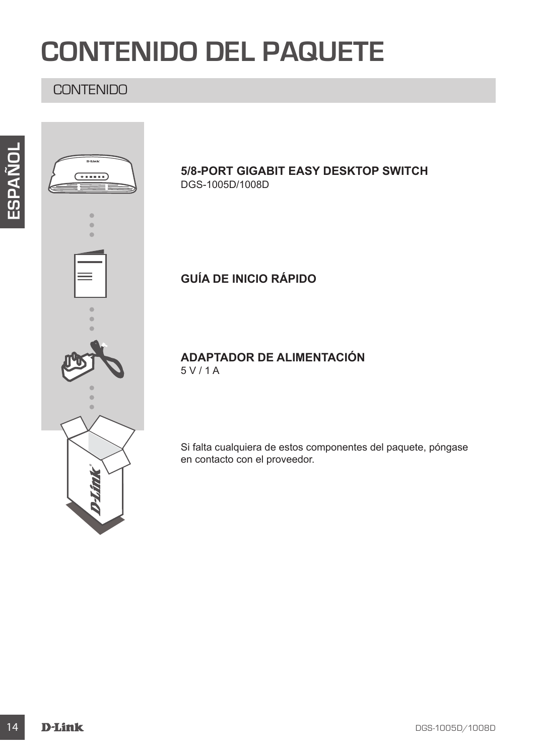## **CONTENIDO DEL PAQUETE**

### **CONTENIDO**



### **5/8-PORT GIGABIT EASY DESKTOP SWITCH** DGS-1005D/1008D

### **GUÍA DE INICIO RÁPIDO**

**ADAPTADOR DE ALIMENTACIÓN** 5 V / 1 A

Si falta cualquiera de estos componentes del paquete, póngase en contacto con el proveedor.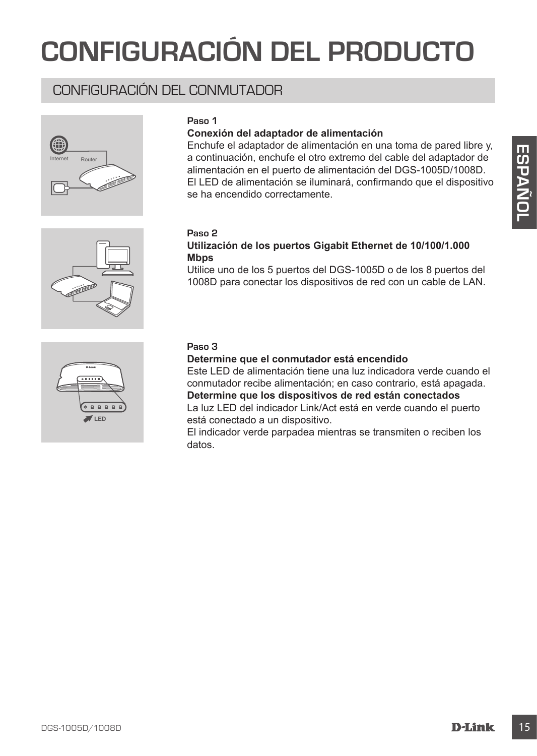## **CONFIGURACIÓN DEL PRODUCTO**

### CONFIGURACIÓN DEL CONMUTADOR







#### **Conexión del adaptador de alimentación**

**Example to the first developed to the distribution of the state of the control of the state of the collection of the puerto de allmentación en el puerto de allmentación en el puerto de la DS-1005D/1008D.<br>
El LED de allmen** Enchufe el adaptador de alimentación en una toma de pared libre y, a continuación, enchufe el otro extremo del cable del adaptador de alimentación en el puerto de alimentación del DGS-1005D/1008D. El LED de alimentación se iluminará, confirmando que el dispositivo se ha encendido correctamente.

#### **Paso 2**

#### **Utilización de los puertos Gigabit Ethernet de 10/100/1.000 Mbps**

Utilice uno de los 5 puertos del DGS-1005D o de los 8 puertos del 1008D para conectar los dispositivos de red con un cable de LAN.



#### **Paso 3**

**Determine que el conmutador está encendido**

Este LED de alimentación tiene una luz indicadora verde cuando el conmutador recibe alimentación; en caso contrario, está apagada. **Determine que los dispositivos de red están conectados**

La luz LED del indicador Link/Act está en verde cuando el puerto está conectado a un dispositivo.

El indicador verde parpadea mientras se transmiten o reciben los datos.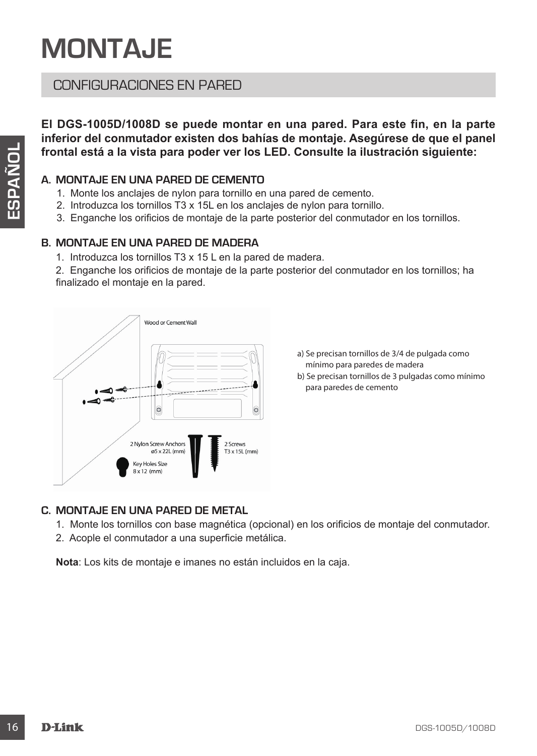## **MONTAJE**

### CONFIGURACIONES EN PARED

**El DGS-1005D/1008D se puede montar en una pared. Para este fin, en la parte inferior del conmutador existen dos bahías de montaje. Asegúrese de que el panel frontal está a la vista para poder ver los LED. Consulte la ilustración siguiente:**

#### **A. MONTAJE EN UNA PARED DE CEMENTO**

- 1. Monte los anclajes de nylon para tornillo en una pared de cemento.
- 2. Introduzca los tornillos T3 x 15L en los anclajes de nylon para tornillo.
- 3. Enganche los orificios de montaje de la parte posterior del conmutador en los tornillos.

#### **B. MONTAJE EN UNA PARED DE MADERA**

1. Introduzca los tornillos T3 x 15 L en la pared de madera.

2. Enganche los orificios de montaje de la parte posterior del conmutador en los tornillos; ha finalizado el montaje en la pared.



- a) Se precisan tornillos de 3/4 de pulgada como mínimo para paredes de madera
- b) Se precisan tornillos de 3 pulgadas como mínimo para paredes de cemento

#### **C. MONTAJE EN UNA PARED DE METAL**

- 1. Monte los tornillos con base magnética (opcional) en los orificios de montaje del conmutador.
- 2. Acople el conmutador a una superficie metálica.

**Nota**: Los kits de montaje e imanes no están incluidos en la caja.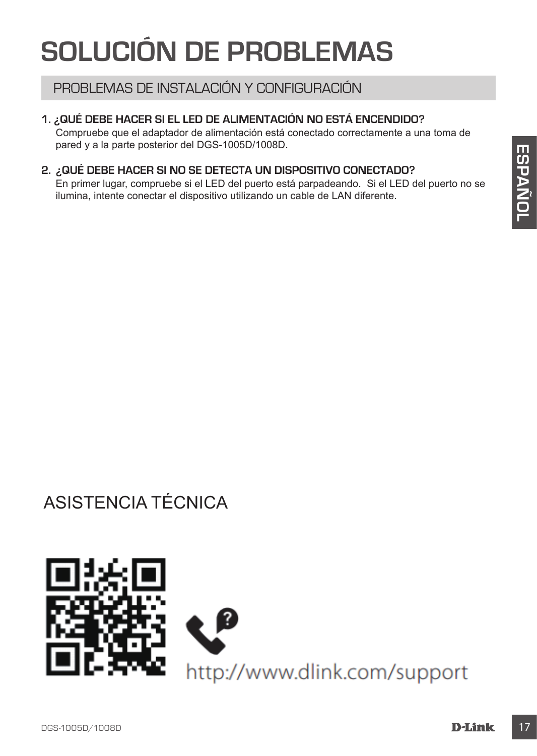## **SOLUCIÓN DE PROBLEMAS**

### PROBLEMAS DE INSTALACIÓN Y CONFIGURACIÓN

#### **1. ¿QUÉ DEBE HACER SI EL LED DE ALIMENTACIÓN NO ESTÁ ENCENDIDO?**

Compruebe que el adaptador de alimentación está conectado correctamente a una toma de pared y a la parte posterior del DGS-1005D/1008D.

#### **2. ¿QUÉ DEBE HACER SI NO SE DETECTA UN DISPOSITIVO CONECTADO?**

En primer lugar, compruebe si el LED del puerto está parpadeando. Si el LED del puerto no se ilumina, intente conectar el dispositivo utilizando un cable de LAN diferente.

## ASISTENCIA TÉCNICA

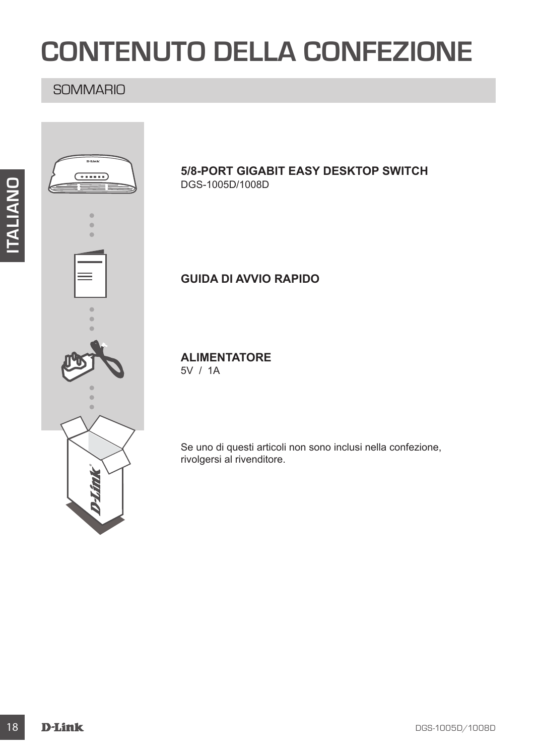## **CONTENUTO DELLA CONFEZIONE**

### **SOMMARIO**



#### **5/8-PORT GIGABIT EASY DESKTOP SWITCH** DGS-1005D/1008D

### **GUIDA DI AVVIO RAPIDO**

**ALIMENTATORE**

5V / 1A

Se uno di questi articoli non sono inclusi nella confezione, rivolgersi al rivenditore.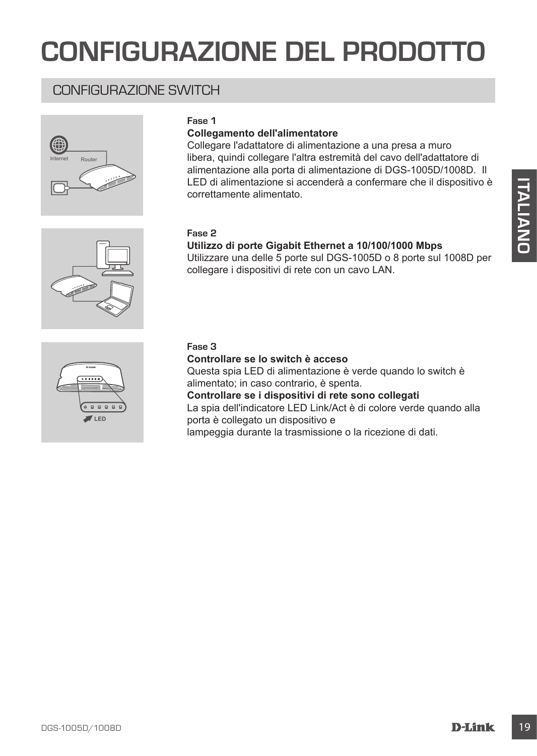## **CONFIGURAZIONE DEL PRODOTTO**

### CONFIGURAZIONE SWITCH





#### **Collegamento dell'alimentatore**

Collegare l'adattatore di alimentazione a una presa a muro libera, quindi collegare l'altra estremità del cavo dell'adattatore di alimentazione alla porta di alimentazione di DGS-1005D/1008D. Il LED di alimentazione si accenderà a confermare che il dispositivo è correttamente alimentato.

#### **Fase 2**

#### **Utilizzo di porte Gigabit Ethernet a 10/100/1000 Mbps**

Utilizzare una delle 5 porte sul DGS-1005D o 8 porte sul 1008D per collegare i dispositivi di rete con un cavo LAN.



#### **Fase 3**

#### **Controllare se lo switch è acceso**

Questa spia LED di alimentazione è verde quando lo switch è alimentato; in caso contrario, è spenta.

**Controllare se i dispositivi di rete sono collegati** La spia dell'indicatore LED Link/Act è di colore verde quando alla porta è collegato un dispositivo e

lampeggia durante la trasmissione o la ricezione di dati.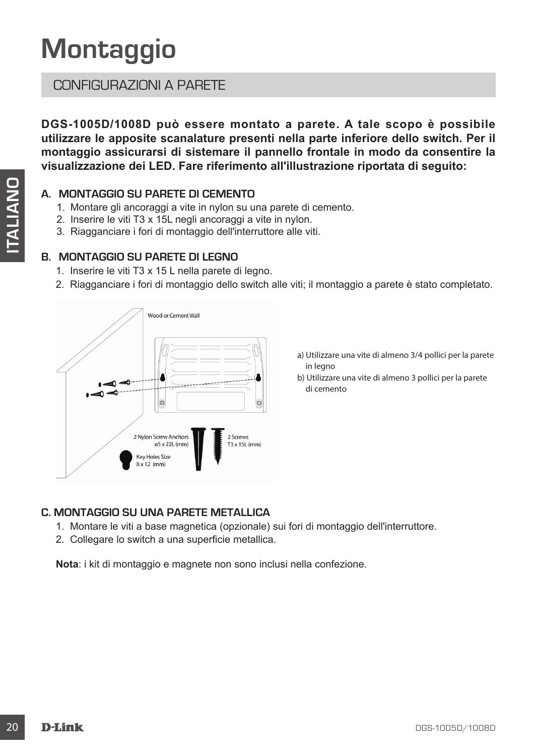## **Montaggio**

### CONFIGURAZIONI A PARETE

**DGS-1005D/1008D può essere montato a parete. A tale scopo è possibile utilizzare le apposite scanalature presenti nella parte inferiore dello switch. Per il montaggio assicurarsi di sistemare il pannello frontale in modo da consentire la visualizzazione dei LED. Fare riferimento all'illustrazione riportata di seguito:**

#### **A. MONTAGGIO SU PARETE DI CEMENTO**

- 1. Montare gli ancoraggi a vite in nylon su una parete di cemento.
- 2. Inserire le viti T3 x 15L negli ancoraggi a vite in nylon.
- 3. Riagganciare i fori di montaggio dell'interruttore alle viti.

#### **B. MONTAGGIO SU PARETE DI LEGNO**

- 1. Inserire le viti T3 x 15 L nella parete di legno.
- 2. Riagganciare i fori di montaggio dello switch alle viti; il montaggio a parete è stato completato.



- a) Utilizzare una vite di almeno 3/4 pollici per la parete in legno
- b) Utilizzare una vite di almeno 3 pollici per la parete di cemento

#### **C. MONTAGGIO SU UNA PARETE METALLICA**

- 1. Montare le viti a base magnetica (opzionale) sui fori di montaggio dell'interruttore.
- 2. Collegare lo switch a una superficie metallica.

**Nota**: i kit di montaggio e magnete non sono inclusi nella confezione.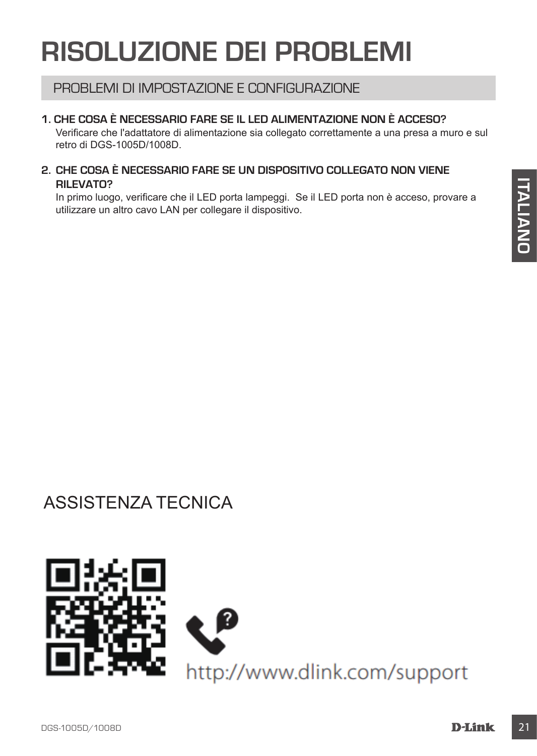## **RISOLUZIONE DEI PROBLEMI**

### PROBLEMI DI IMPOSTAZIONE E CONFIGURAZIONE

#### **1. CHE COSA È NECESSARIO FARE SE IL LED ALIMENTAZIONE NON È ACCESO?**

Verificare che l'adattatore di alimentazione sia collegato correttamente a una presa a muro e sul retro di DGS-1005D/1008D.

#### **2. CHE COSA È NECESSARIO FARE SE UN DISPOSITIVO COLLEGATO NON VIENE RILEVATO?**

In primo luogo, verificare che il LED porta lampeggi. Se il LED porta non è acceso, provare a utilizzare un altro cavo LAN per collegare il dispositivo.

## ASSISTENZA TECNICA

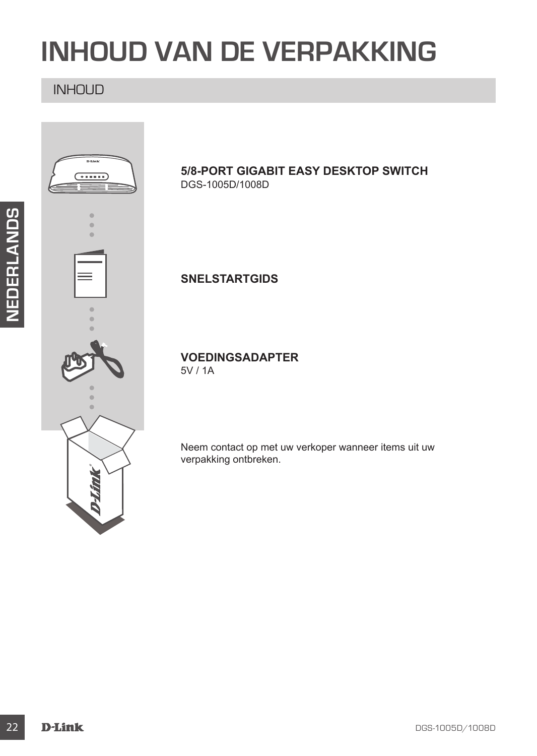## **INHOUD VAN DE VERPAKKING**

### INHOUD



#### **5/8-PORT GIGABIT EASY DESKTOP SWITCH** DGS-1005D/1008D

**SNELSTARTGIDS**

**VOEDINGSADAPTER** 5V / 1A

Neem contact op met uw verkoper wanneer items uit uw verpakking ontbreken.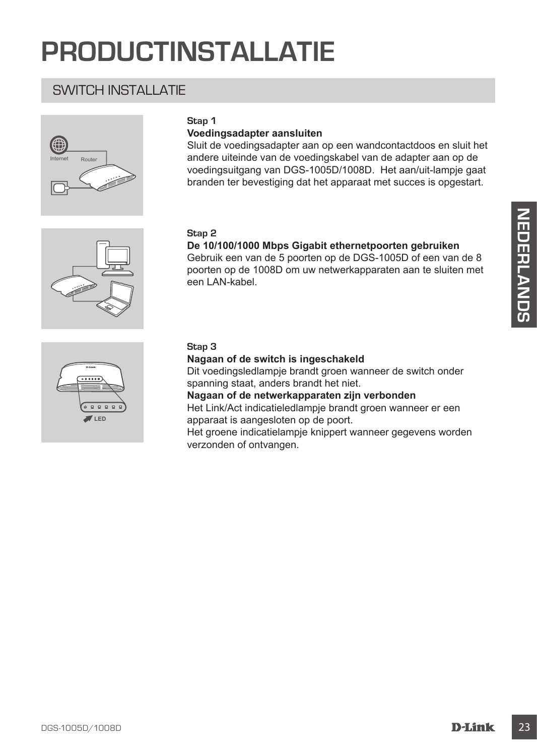## **PRODUCTINSTALLATIE**

### SWITCH INSTALL ATIF



#### **Stap 1**

#### **Voedingsadapter aansluiten**

Sluit de voedingsadapter aan op een wandcontactdoos en sluit het andere uiteinde van de voedingskabel van de adapter aan op de voedingsuitgang van DGS-1005D/1008D. Het aan/uit-lampje gaat branden ter bevestiging dat het apparaat met succes is opgestart.

#### **Stap 2**

#### **De 10/100/1000 Mbps Gigabit ethernetpoorten gebruiken**

Stap 2<br>
De 101/00/1000 Mbps Gigabit ethernetpoorten gebruiken<br>
Gebruik een van de 5 poorten op de DOS-1005D of een van de 8<br>
poorten op de 1008D om uw netwerkapparaten aan te skillen met<br>
een LAN-kabel.<br> **Stap 3**<br>
Magaan o Gebruik een van de 5 poorten op de DGS-1005D of een van de 8 poorten op de 1008D om uw netwerkapparaten aan te sluiten met een LAN-kabel.



#### **Stap 3**

#### **Nagaan of de switch is ingeschakeld**

Dit voedingsledlampje brandt groen wanneer de switch onder spanning staat, anders brandt het niet.

**Nagaan of de netwerkapparaten zijn verbonden**

Het Link/Act indicatieledlampje brandt groen wanneer er een apparaat is aangesloten op de poort.

Het groene indicatielampje knippert wanneer gegevens worden verzonden of ontvangen.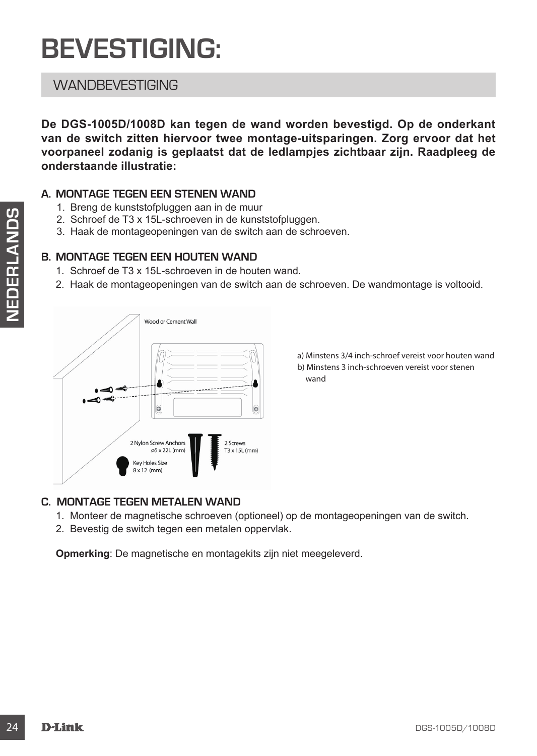## **BEVESTIGING:**

### **WANDBEVESTIGING**

**De DGS-1005D/1008D kan tegen de wand worden bevestigd. Op de onderkant van de switch zitten hiervoor twee montage-uitsparingen. Zorg ervoor dat het voorpaneel zodanig is geplaatst dat de ledlampjes zichtbaar zijn. Raadpleeg de onderstaande illustratie:**

#### **A. MONTAGE TEGEN EEN STENEN WAND**

- 1. Breng de kunststofpluggen aan in de muur
- 2. Schroef de T3 x 15L-schroeven in de kunststofpluggen.
- 3. Haak de montageopeningen van de switch aan de schroeven.

#### **B. MONTAGE TEGEN EEN HOUTEN WAND**

- 1. Schroef de T3 x 15L-schroeven in de houten wand.
- 2. Haak de montageopeningen van de switch aan de schroeven. De wandmontage is voltooid.



a) Minstens 3/4 inch-schroef vereist voor houten wand b) Minstens 3 inch-schroeven vereist voor stenen wand

#### **C. MONTAGE TEGEN METALEN WAND**

- 1. Monteer de magnetische schroeven (optioneel) op de montageopeningen van de switch.
- 2. Bevestig de switch tegen een metalen oppervlak.

**Opmerking**: De magnetische en montagekits zijn niet meegeleverd.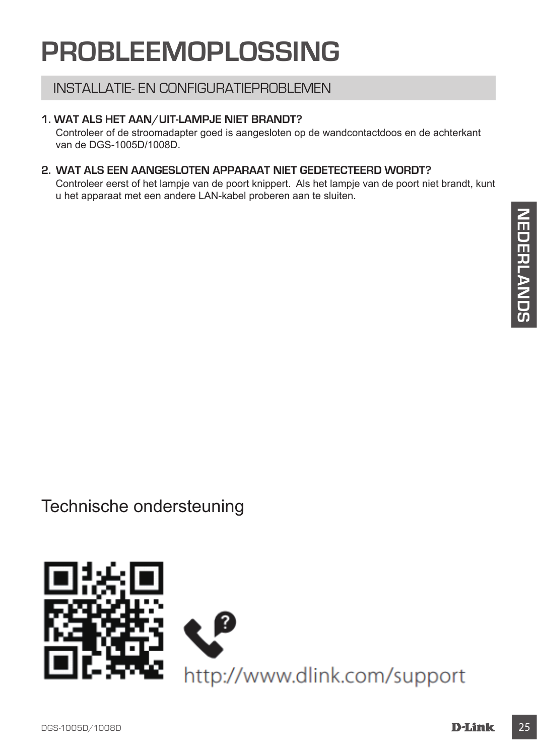## **PROBLEEMOPLOSSING**

### INSTALLATIE- EN CONFIGURATIEPROBLEMEN

#### **1. WAT ALS HET AAN/UIT-LAMPJE NIET BRANDT?**

Controleer of de stroomadapter goed is aangesloten op de wandcontactdoos en de achterkant van de DGS-1005D/1008D.

#### **2. WAT ALS EEN AANGESLOTEN APPARAAT NIET GEDETECTEERD WORDT?**

Controleer eerst of het lampje van de poort knippert. Als het lampje van de poort niet brandt, kunt u het apparaat met een andere LAN-kabel proberen aan te sluiten.

Technische ondersteuning

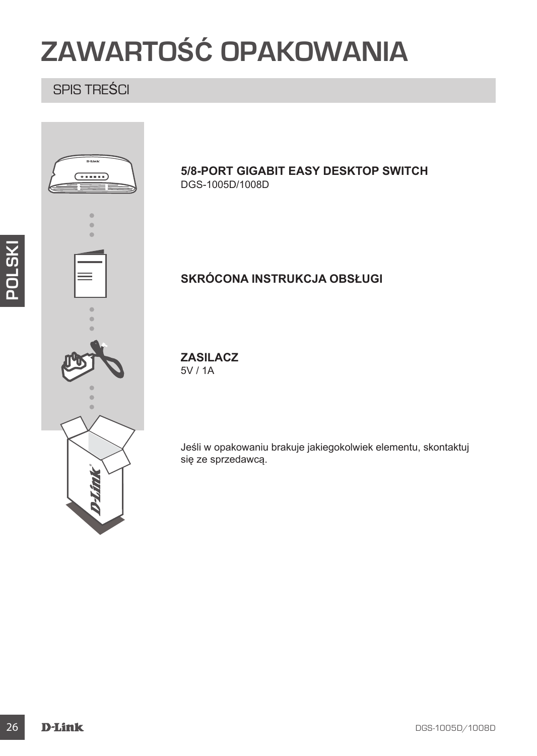## **ZAWARTOŚĆ OPAKOWANIA**

## SPIS TREŚCI



#### **5/8-PORT GIGABIT EASY DESKTOP SWITCH** DGS-1005D/1008D

### **SKRÓCONA INSTRUKCJA OBSŁUGI**

#### **ZASILACZ** 5V / 1A

Jeśli w opakowaniu brakuje jakiegokolwiek elementu, skontaktuj się ze sprzedawcą.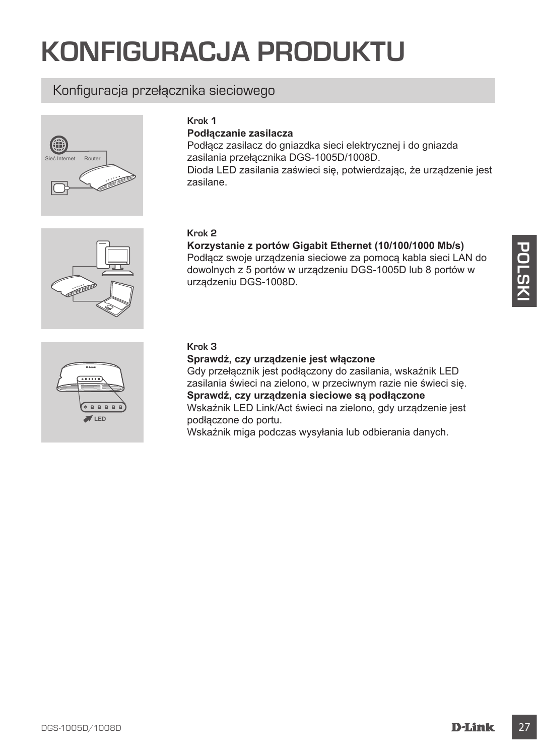## **KONFIGURACJA PRODUKTU**

### Konfiguracja przełącznika sieciowego



**Krok 1**

#### **Podłączanie zasilacza**

Podłącz zasilacz do gniazdka sieci elektrycznej i do gniazda zasilania przełącznika DGS-1005D/1008D. Dioda LED zasilania zaświeci się, potwierdzając, że urządzenie jest zasilane.



## **Korzystanie z portów Gigabit Ethernet (10/100/1000 Mb/s)**

Podłącz swoje urządzenia sieciowe za pomocą kabla sieci LAN do dowolnych z 5 portów w urządzeniu DGS-1005D lub 8 portów w urządzeniu DGS-1008D.



#### **Krok 3**

#### **Sprawdź, czy urządzenie jest włączone**

Morzystanie z portow **Gigatit Elientre (191001000 Mbs)**<br>
Podlącz swoje urządzeniu DGS-1005D lub 8 portów w<br>
dowolnych z 5 portów w urządzeniu DGS-1005D lub 8 portów w<br>
urządzeniu DGS-1008D.<br>
Sprawdż, czy urządzenie jest wi Gdy przełącznik jest podłączony do zasilania, wskaźnik LED zasilania świeci na zielono, w przeciwnym razie nie świeci się. **Sprawdź, czy urządzenia sieciowe są podłączone** Wskaźnik LED Link/Act świeci na zielono, gdy urządzenie jest podłączone do portu. Wskaźnik miga podczas wysyłania lub odbierania danych.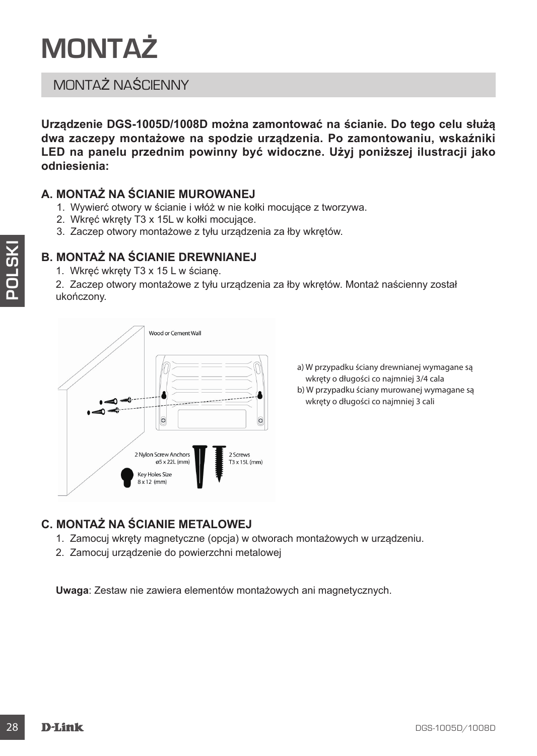

## MONTAŻ NAŚCIENNY

**Urządzenie DGS-1005D/1008D można zamontować na ścianie. Do tego celu służą dwa zaczepy montażowe na spodzie urządzenia. Po zamontowaniu, wskaźniki LED na panelu przednim powinny być widoczne. Użyj poniższej ilustracji jako odniesienia:**

#### **A. MONTAŻ NA ŚCIANIE MUROWANEJ**

- 1. Wywierć otwory w ścianie i włóż w nie kołki mocujące z tworzywa.
- 2. Wkręć wkręty T3 x 15L w kołki mocujące.
- 3. Zaczep otwory montażowe z tyłu urządzenia za łby wkrętów.

#### **B. MONTAŻ NA ŚCIANIE DREWNIANEJ**

1. Wkręć wkręty T3 x 15 L w ścianę.

2. Zaczep otwory montażowe z tyłu urządzenia za łby wkrętów. Montaż naścienny został ukończony.



a) W przypadku ściany drewnianej wymagane są wkręty o długości co najmniej 3/4 cala b) W przypadku ściany murowanej wymagane są wkręty o długości co najmniej 3 cali

### **C. MONTAŻ NA ŚCIANIE METALOWEJ**

- 1. Zamocuj wkręty magnetyczne (opcja) w otworach montażowych w urządzeniu.
- 2. Zamocuj urządzenie do powierzchni metalowej

**Uwaga**: Zestaw nie zawiera elementów montażowych ani magnetycznych.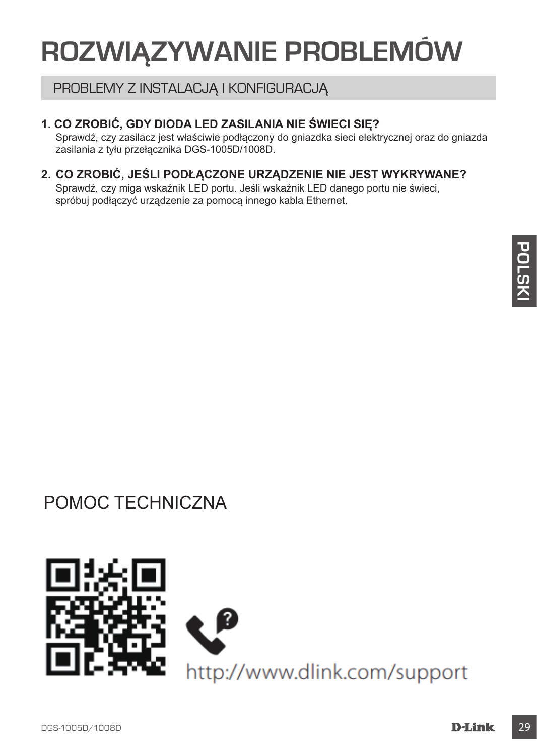## **ROZWIĄZYWANIE PROBLEMÓW**

### PROBLEMY Z INSTALACJĄ I KONFIGURACJĄ

#### **1. CO ZROBIĆ, GDY DIODA LED ZASILANIA NIE ŚWIECI SIĘ?**

Sprawdź, czy zasilacz jest właściwie podłączony do gniazdka sieci elektrycznej oraz do gniazda zasilania z tyłu przełącznika DGS-1005D/1008D.

#### **2. CO ZROBIĆ, JEŚLI PODŁĄCZONE URZĄDZENIE NIE JEST WYKRYWANE?**

Sprawdź, czy miga wskaźnik LED portu. Jeśli wskaźnik LED danego portu nie świeci, spróbuj podłączyć urządzenie za pomocą innego kabla Ethernet.

## POMOC TECHNICZNA

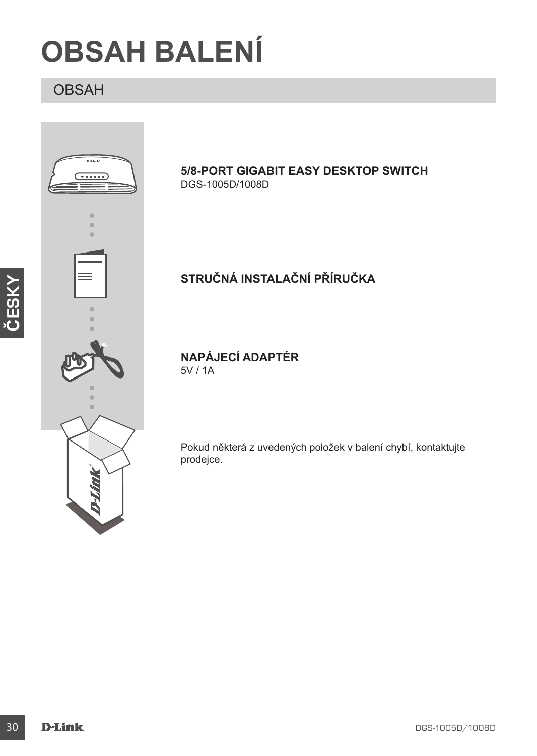## **OBSAH BALENÍ**

## OBSAH



**5/8-PORT GIGABIT EASY DESKTOP SWITCH**

## **STRUČNÁ INSTALAČNÍ PŘÍRUČKA**

Pokud některá z uvedených položek v balení chybí, kontaktujte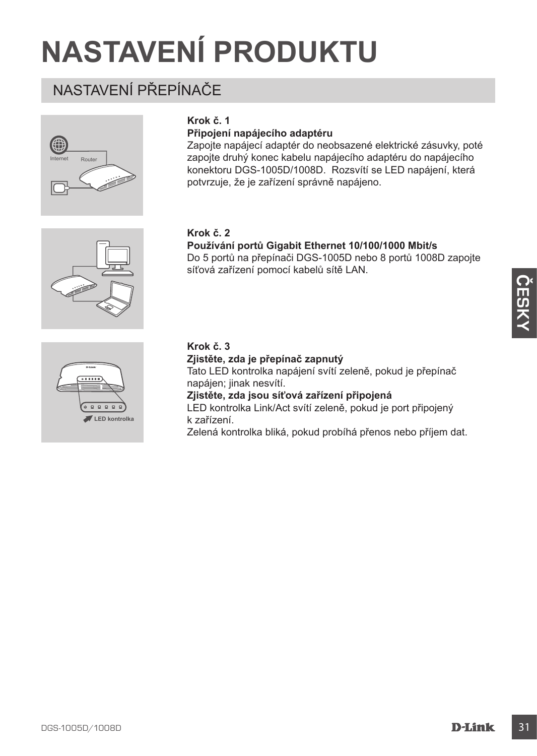## **NASTAVENÍ PRODUKTU**

## NASTAVENÍ PŘEPÍNAČE



#### **Krok č. 1**

#### **Připojení napájecího adaptéru**

Zapojte napájecí adaptér do neobsazené elektrické zásuvky, poté zapojte druhý konec kabelu napájecího adaptéru do napájecího konektoru DGS-1005D/1008D. Rozsvítí se LED napájení, která potvrzuje, že je zařízení správně napájeno.

#### **Krok č. 2**

#### **Používání portů Gigabit Ethernet 10/100/1000 Mbit/s**

Do 5 portů na přepínači DGS-1005D nebo 8 portů 1008D zapojte síťová zařízení pomocí kabelů sítě LAN.



#### **Krok č. 3**

**Zjistěte, zda je přepínač zapnutý** Tato LED kontrolka napájení svítí zeleně, pokud je přepínač napájen; jinak nesvítí. **Zjistěte, zda jsou síťová zařízení připojená** LED kontrolka Link/Act svítí zeleně, pokud je port připojený k zařízení. Zelená kontrolka bliká, pokud probíhá přenos nebo příjem dat.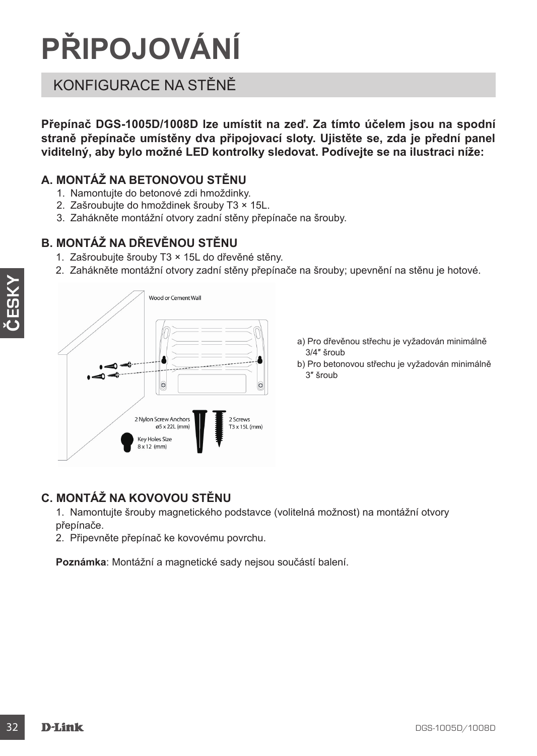# **PŘIPOJOVÁNÍ**

## KONFIGURACE NA STĚNĚ

**Přepínač DGS-1005D/1008D lze umístit na zeď. Za tímto účelem jsou na spodní straně přepínače umístěny dva připojovací sloty. Ujistěte se, zda je přední panel viditelný, aby bylo možné LED kontrolky sledovat. Podívejte se na ilustraci níže:**

### **A. MONTÁŽ NA BETONOVOU STĚNU**

- 1. Namontujte do betonové zdi hmoždinky.
- 2. Zašroubujte do hmoždinek šrouby T3 × 15L.
- 3. Zahákněte montážní otvory zadní stěny přepínače na šrouby.

### **B. MONTÁŽ NA DŘEVĚNOU STĚNU**

- 1. Zašroubujte šrouby T3 × 15L do dřevěné stěny.
- 2. Zahákněte montážní otvory zadní stěny přepínače na šrouby; upevnění na stěnu je hotové.



- a) Pro dřevěnou střechu je vyžadován minimálně 3/4″ šroub
- b) Pro betonovou střechu je vyžadován minimálně 3″ šroub

### **C. MONTÁŽ NA KOVOVOU STĚNU**

1. Namontujte šrouby magnetického podstavce (volitelná možnost) na montážní otvory přepínače.

2. Připevněte přepínač ke kovovému povrchu.

**Poznámka**: Montážní a magnetické sady nejsou součástí balení.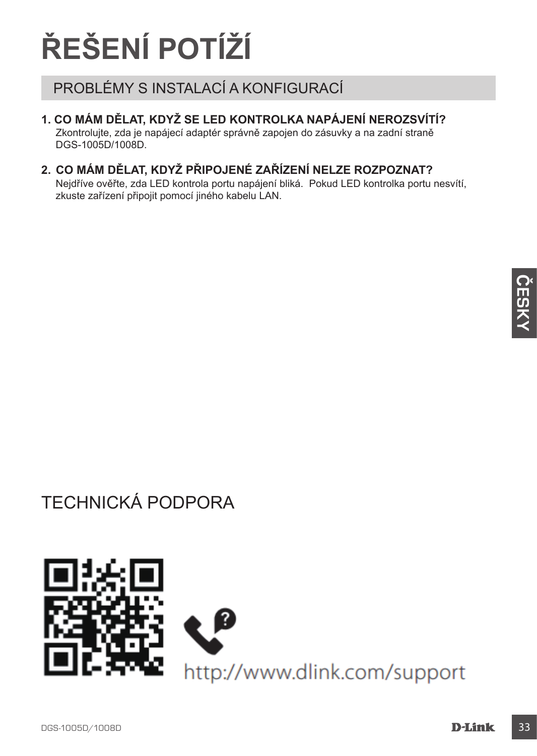# **ŘEŠENÍ POTÍŽÍ**

## PROBLÉMY S INSTALACÍ A KONFIGURACÍ

### **1. CO MÁM DĚLAT, KDYŽ SE LED KONTROLKA NAPÁJENÍ NEROZSVÍTÍ?**

Zkontrolujte, zda je napájecí adaptér správně zapojen do zásuvky a na zadní straně DGS-1005D/1008D.

### **2. CO MÁM DĚLAT, KDYŽ PŘIPOJENÉ ZAŘÍZENÍ NELZE ROZPOZNAT?**

Nejdříve ověřte, zda LED kontrola portu napájení bliká. Pokud LED kontrolka portu nesvítí, zkuste zařízení připojit pomocí jiného kabelu LAN.

TECHNICKÁ PODPORA

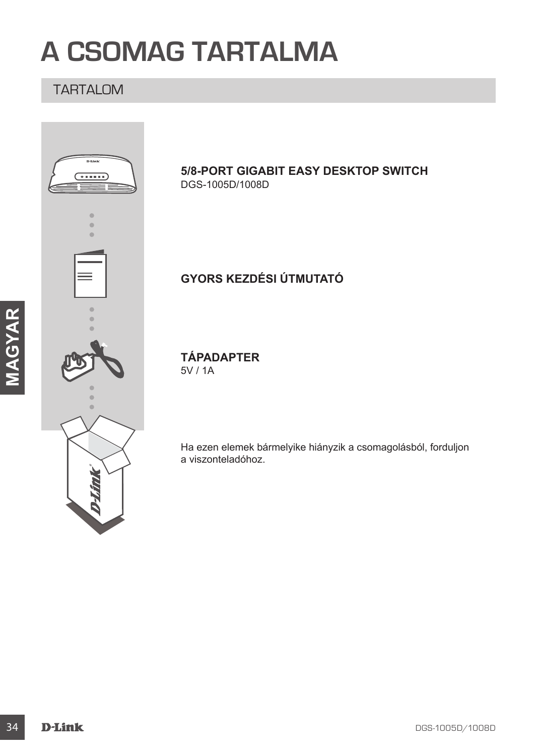## **A CSOMAG TARTALMA**

### TARTALOM

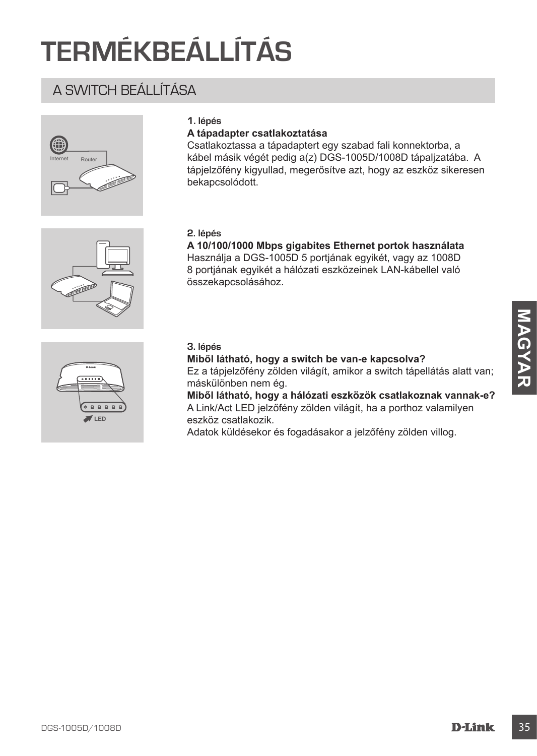## **TERMÉKBEÁLLÍTÁS**

## A SWITCH BEÁLLÍTÁSA





#### **A tápadapter csatlakoztatása**

Csatlakoztassa a tápadaptert egy szabad fali konnektorba, a kábel másik végét pedig a(z) DGS-1005D/1008D tápaljzatába. A tápjelzőfény kigyullad, megerősítve azt, hogy az eszköz sikeresen bekapcsolódott.

#### **2. lépés**

**A 10/100/1000 Mbps gigabites Ethernet portok használata** Használja a DGS-1005D 5 portjának egyikét, vagy az 1008D 8 portjának egyikét a hálózati eszközeinek LAN-kábellel való összekapcsolásához.



#### **3. lépés**

**Miből látható, hogy a switch be van-e kapcsolva?**

Ez a tápjelzőfény zölden világít, amikor a switch tápellátás alatt van; máskülönben nem ég.

3. lépés<br>
Miből látható, hogy a switch be van-e kapcsolva?<br>
Ez déplezőfény zolden világit, amikor a switch tápellátás alatt van;<br>
máskulohadn morádge hálózati eszközök csatakoznak vannak-e?<br>
ALDIKACI LED jejzőfény zolden v **Miből látható, hogy a hálózati eszközök csatlakoznak vannak-e?** A Link/Act LED jelzőfény zölden világít, ha a porthoz valamilyen eszköz csatlakozik.

Adatok küldésekor és fogadásakor a jelzőfény zölden villog.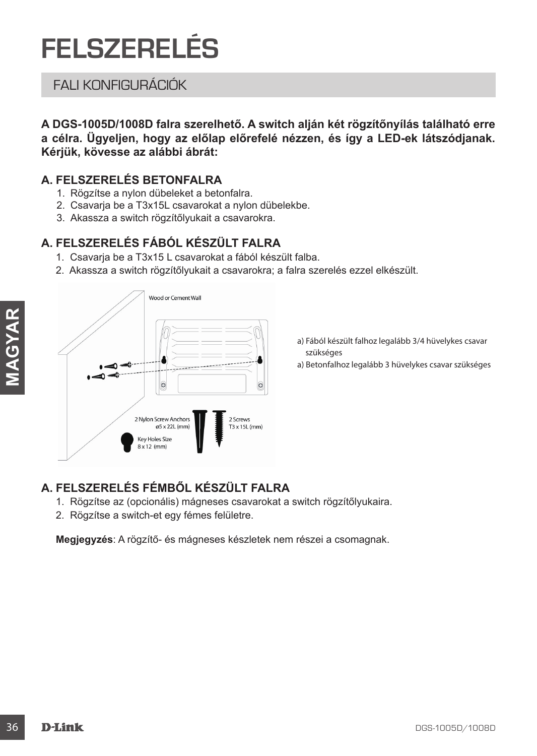## **FELSZERELÉS**

## FALI KONFIGURÁCIÓK

**A DGS-1005D/1008D falra szerelhető. A switch alján két rögzítőnyílás található erre a célra. Ügyeljen, hogy az előlap előrefelé nézzen, és így a LED-ek látszódjanak. Kérjük, kövesse az alábbi ábrát:**

### **A. FELSZERELÉS BETONFALRA**

- 1. Rögzítse a nylon dübeleket a betonfalra.
- 2. Csavarja be a T3x15L csavarokat a nylon dübelekbe.
- 3. Akassza a switch rögzítőlyukait a csavarokra.

### **A. FELSZERELÉS FÁBÓL KÉSZÜLT FALRA**

- 1. Csavarja be a T3x15 L csavarokat a fából készült falba.
- 2. Akassza a switch rögzítőlyukait a csavarokra; a falra szerelés ezzel elkészült.



a) Fából készült falhoz legalább 3/4 hüvelykes csavar szükséges

a) Betonfalhoz legalább 3 hüvelykes csavar szükséges

### **A. FELSZERELÉS FÉMBŐL KÉSZÜLT FALRA**

- 1. Rögzítse az (opcionális) mágneses csavarokat a switch rögzítőlyukaira.
- 2. Rögzítse a switch-et egy fémes felületre.

**Megjegyzés**: A rögzítő- és mágneses készletek nem részei a csomagnak.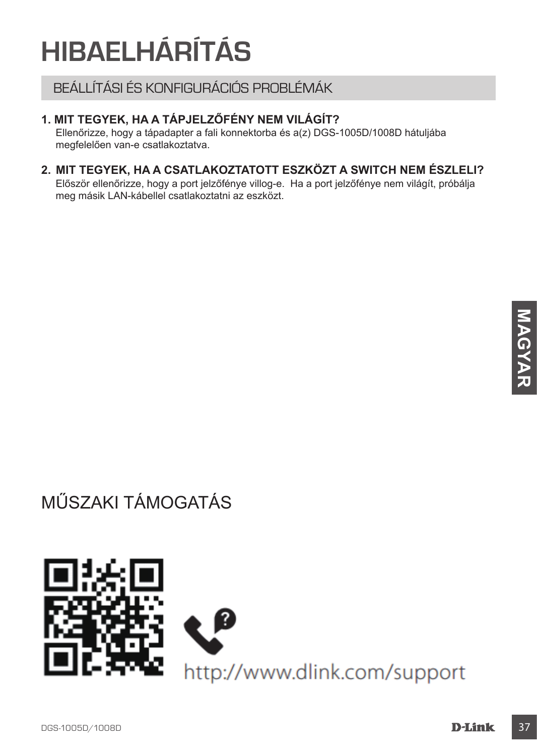# **HIBAELHÁRÍTÁS**

BEÁLLÍTÁSI ÉS KONFIGURÁCIÓS PROBLÉMÁK

#### **1. MIT TEGYEK, HA A TÁPJELZŐFÉNY NEM VILÁGÍT?**

Ellenőrizze, hogy a tápadapter a fali konnektorba és a(z) DGS-1005D/1008D hátuljába megfelelően van-e csatlakoztatva.

#### **2. MIT TEGYEK, HA A CSATLAKOZTATOTT ESZKÖZT A SWITCH NEM ÉSZLELI?**

Először ellenőrizze, hogy a port jelzőfénye villog-e. Ha a port jelzőfénye nem világít, próbálja meg másik LAN-kábellel csatlakoztatni az eszközt.

MŰSZAKI TÁMOGATÁS

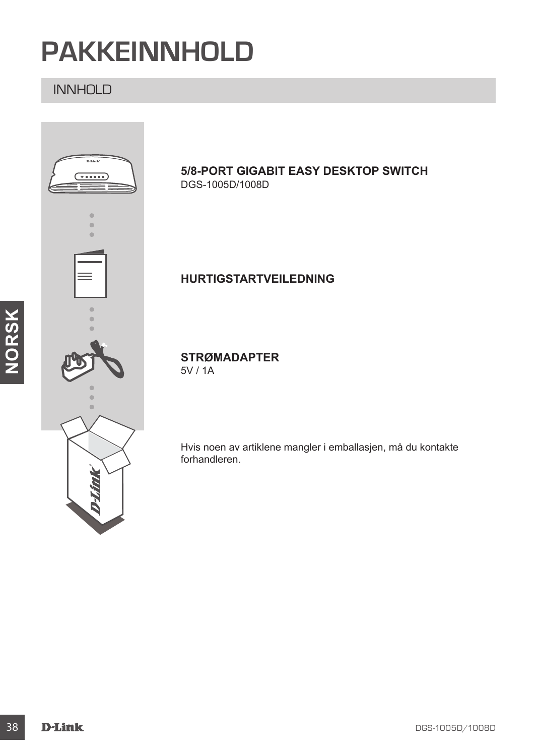# **PAKKEINNHOLD**

### INNHOLD

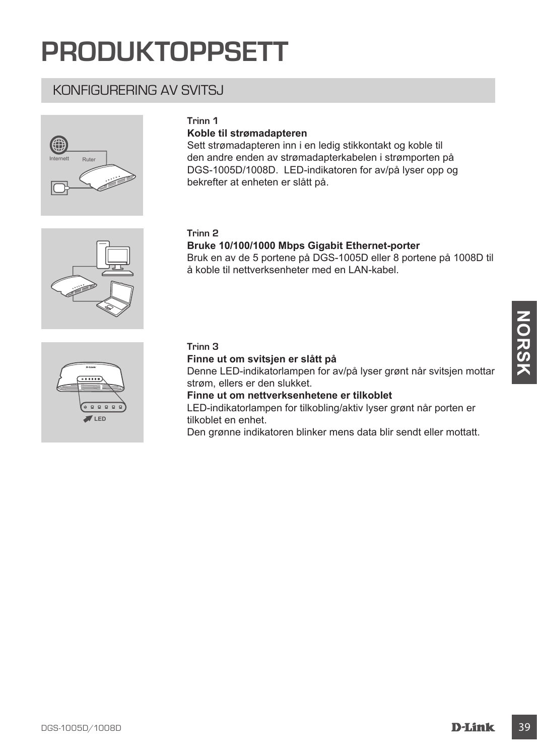# **PRODUKTOPPSETT**

### KONFIGURERING AV SVITSJ



#### **Trinn 1**

#### **Koble til strømadapteren**

Sett strømadapteren inn i en ledig stikkontakt og koble til den andre enden av strømadapterkabelen i strømporten på DGS-1005D/1008D. LED-indikatoren for av/på lyser opp og bekrefter at enheten er slått på.

#### **Trinn 2**

#### **Bruke 10/100/1000 Mbps Gigabit Ethernet-porter**

Bruk en av de 5 portene på DGS-1005D eller 8 portene på 1008D til å koble til nettverksenheter med en LAN-kabel.



#### **Trinn 3**

#### **Finne ut om svitsjen er slått på**

Denne LED-indikatorlampen for av/på lyser grønt når svitsjen mottar strøm, ellers er den slukket.

**Finne ut om nettverksenhetene er tilkoblet**

LED-indikatorlampen for tilkobling/aktiv lyser grønt når porten er tilkoblet en enhet.

Den grønne indikatoren blinker mens data blir sendt eller mottatt.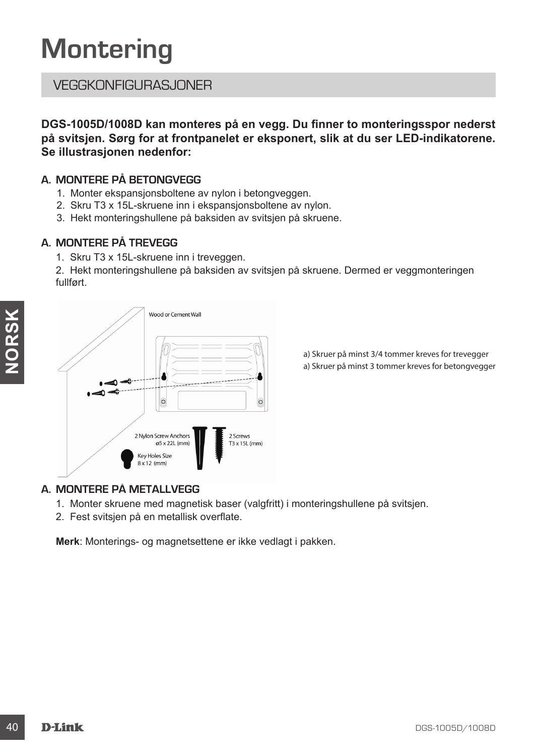# **Montering**

### VEGGKONFIGLIBAS, JONER

**DGS-1005D/1008D kan monteres på en vegg. Du finner to monteringsspor nederst på svitsjen. Sørg for at frontpanelet er eksponert, slik at du ser LED-indikatorene. Se illustrasjonen nedenfor:**

#### **A. MONTERE PÅ BETONGVEGG**

- 1. Monter ekspansjonsboltene av nylon i betongveggen.
- 2. Skru T3 x 15L-skruene inn i ekspansjonsboltene av nylon.
- 3. Hekt monteringshullene på baksiden av svitsjen på skruene.

#### **A. MONTERE PÅ TREVEGG**

1. Skru T3 x 15L-skruene inn i treveggen.

2. Hekt monteringshullene på baksiden av svitsjen på skruene. Dermed er veggmonteringen fullført.



a) Skruer på minst 3/4 tommer kreves for trevegger a) Skruer på minst 3 tommer kreves for betongvegger

#### **A. MONTERE PÅ METALLVEGG**

- 1. Monter skruene med magnetisk baser (valgfritt) i monteringshullene på svitsjen.
- 2. Fest svitsjen på en metallisk overflate.

**Merk**: Monterings- og magnetsettene er ikke vedlagt i pakken.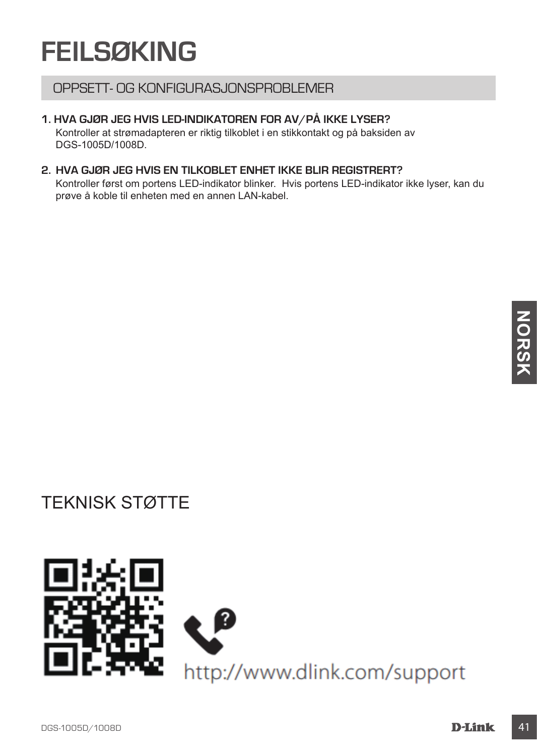# **FEILSØKING**

### OPPSETT- OG KONFIGURASJONSPROBLEMER

#### **1. HVA GJØR JEG HVIS LED-INDIKATOREN FOR AV/PÅ IKKE LYSER?**

Kontroller at strømadapteren er riktig tilkoblet i en stikkontakt og på baksiden av DGS-1005D/1008D.

#### **2. HVA GJØR JEG HVIS EN TILKOBLET ENHET IKKE BLIR REGISTRERT?**

Kontroller først om portens LED-indikator blinker. Hvis portens LED-indikator ikke lyser, kan du prøve å koble til enheten med en annen LAN-kabel.

# TEKNISK STØTTE

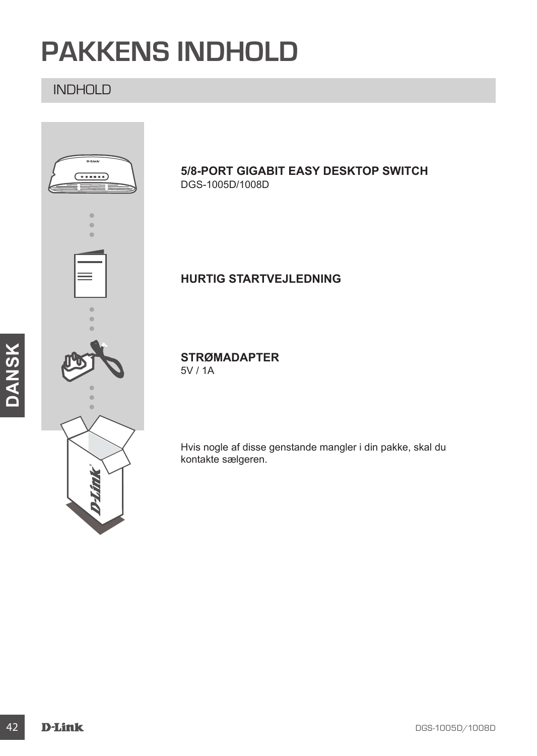# **PAKKENS INDHOLD**

### INDHOLD



#### **5/8-PORT GIGABIT EASY DESKTOP SWITCH** DGS-1005D/1008D

### **HURTIG STARTVEJLEDNING**

### **STRØMADAPTER**

Hvis nogle af disse genstande mangler i din pakke, skal du kontakte sælgeren.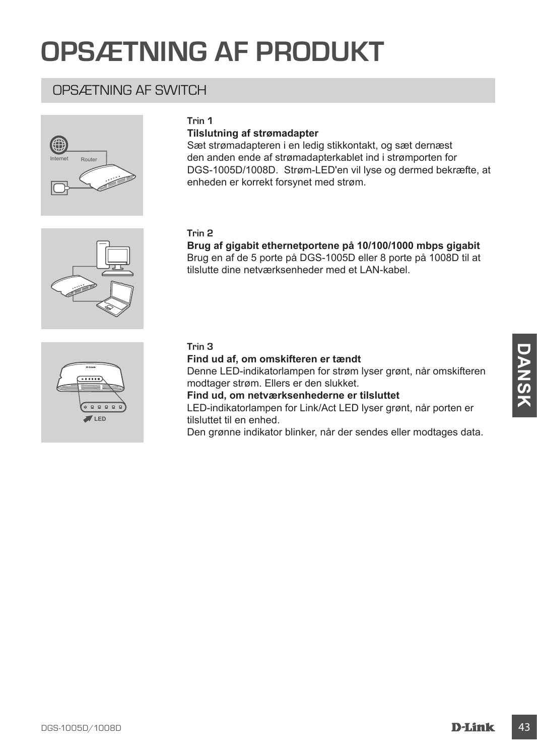# **OPSÆTNING AF PRODUKT**

### OPSÆTNING AF SWITCH



#### **Trin 1**

#### **Tilslutning af strømadapter**

Sæt strømadapteren i en ledig stikkontakt, og sæt dernæst den anden ende af strømadapterkablet ind i strømporten for DGS-1005D/1008D. Strøm-LED'en vil lyse og dermed bekræfte, at enheden er korrekt forsynet med strøm.

#### **Trin 2**

**Brug af gigabit ethernetportene på 10/100/1000 mbps gigabit** Brug en af de 5 porte på DGS-1005D eller 8 porte på 1008D til at tilslutte dine netværksenheder med et LAN-kabel.



# **LED**

#### **Trin 3**

**Find ud af, om omskifteren er tændt**

Find ud af, om omskifteren er tændt<br>
Denne LED-indiklatolrampen for fartem lyser grønt, når omskifteren<br>
moddager strøm. Eliers er den slukket.<br>
Find ud, om netverksenhederne er tilsluttet<br>
Find ud, om netverksenhederne er Denne LED-indikatorlampen for strøm lyser grønt, når omskifteren modtager strøm. Ellers er den slukket.

**Find ud, om netværksenhederne er tilsluttet**

LED-indikatorlampen for Link/Act LED lyser grønt, når porten er tilsluttet til en enhed.

Den grønne indikator blinker, når der sendes eller modtages data.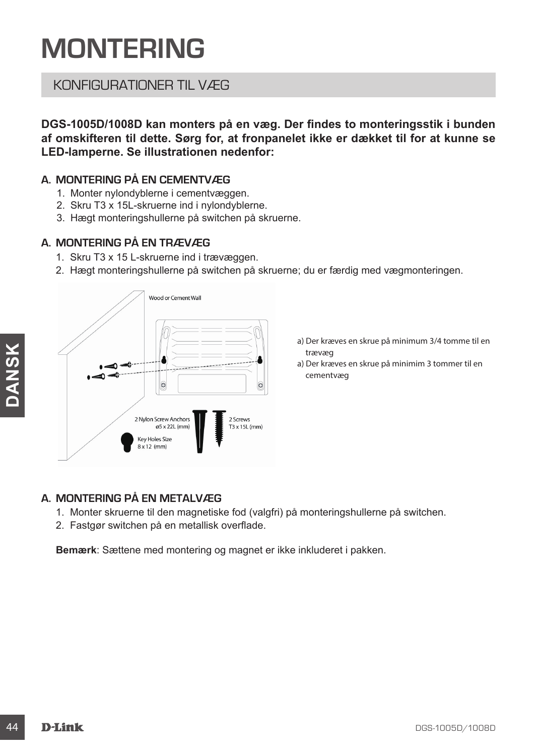# **MONTERING**

### KONFIGURATIONER TIL VÆG

**DGS-1005D/1008D kan monters på en væg. Der findes to monteringsstik i bunden af omskifteren til dette. Sørg for, at fronpanelet ikke er dækket til for at kunne se LED-lamperne. Se illustrationen nedenfor:**

#### **A. MONTERING PÅ EN CEMENTVÆG**

- 1. Monter nylondyblerne i cementvæggen.
- 2. Skru T3 x 15L-skruerne ind i nylondyblerne.
- 3. Hægt monteringshullerne på switchen på skruerne.

#### **A. MONTERING PÅ EN TRÆVÆG**

- 1. Skru T3 x 15 L-skruerne ind i trævæggen.
- 2. Hægt monteringshullerne på switchen på skruerne; du er færdig med vægmonteringen.



- a) Der kræves en skrue på minimum 3/4 tomme til en trævæg
- a) Der kræves en skrue på minimim 3 tommer til en cementvæg

#### **A. MONTERING PÅ EN METALVÆG**

- 1. Monter skruerne til den magnetiske fod (valgfri) på monteringshullerne på switchen.
- 2. Fastgør switchen på en metallisk overflade.

**Bemærk**: Sættene med montering og magnet er ikke inkluderet i pakken.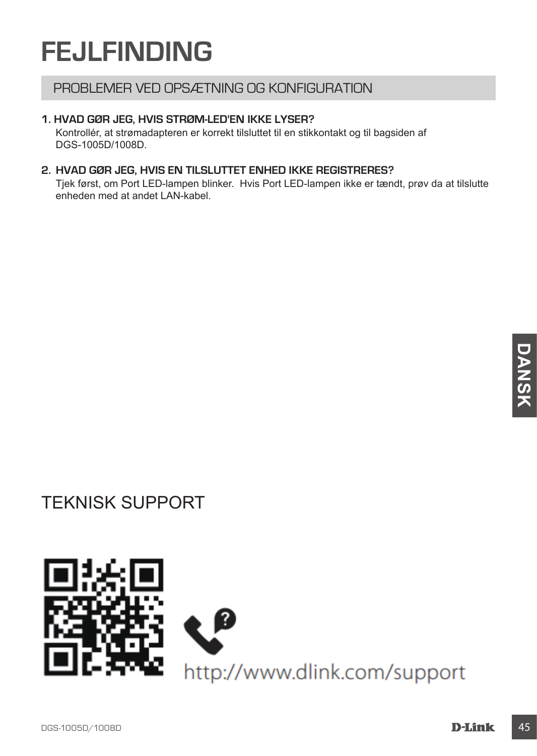# **FEJLFINDING**

### PROBLEMER VED OPSÆTNING OG KONFIGURATION

#### **1. HVAD GØR JEG, HVIS STRØM-LED'EN IKKE LYSER?**

Kontrollér, at strømadapteren er korrekt tilsluttet til en stikkontakt og til bagsiden af DGS-1005D/1008D.

#### **2. HVAD GØR JEG, HVIS EN TILSLUTTET ENHED IKKE REGISTRERES?**

Tjek først, om Port LED-lampen blinker. Hvis Port LED-lampen ikke er tændt, prøv da at tilslutte enheden med at andet LAN-kabel.

# TEKNISK SUPPORT

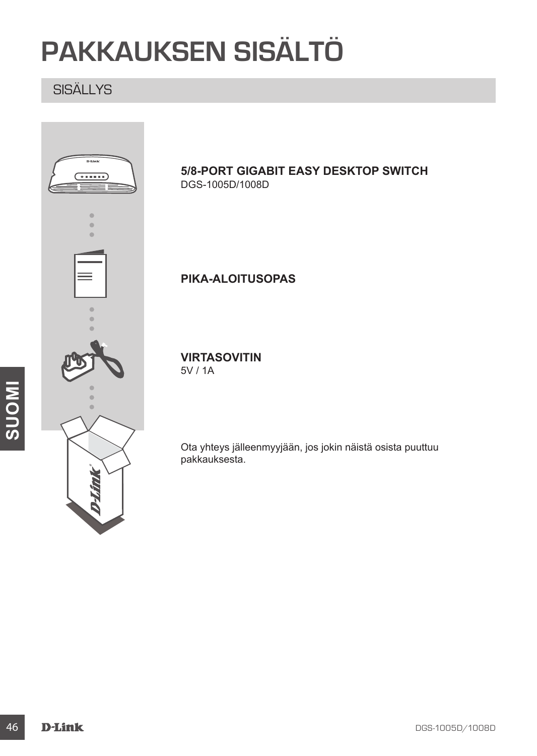# **PAKKAUKSEN SISÄLTÖ**

### SISÄLLYS

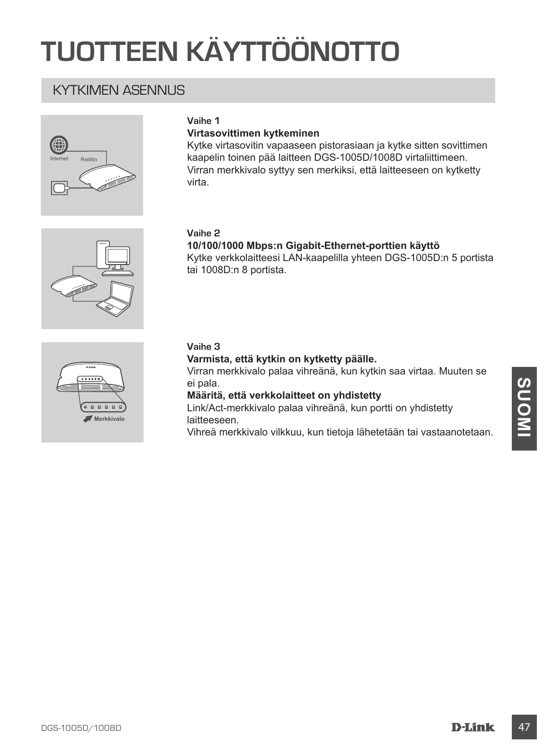# **TUOTTEEN KÄYTTÖÖNOTTO**

### KYTKIMEN ASENNI IS



#### **Vaihe 1**

#### **Virtasovittimen kytkeminen**

Kytke virtasovitin vapaaseen pistorasiaan ja kytke sitten sovittimen kaapelin toinen pää laitteen DGS-1005D/1008D virtaliittimeen. Virran merkkivalo syttyy sen merkiksi, että laitteeseen on kytketty virta.



#### **Vaihe 2**

**10/100/1000 Mbps:n Gigabit-Ethernet-porttien käyttö** Kytke verkkolaitteesi LAN-kaapelilla yhteen DGS-1005D:n 5 portista tai 1008D:n 8 portista.



#### **Vaihe 3**

#### **Varmista, että kytkin on kytketty päälle.**

Virran merkkivalo palaa vihreänä, kun kytkin saa virtaa. Muuten se ei pala.

**Määritä, että verkkolaitteet on yhdistetty**

**DE Palait (State of Marital), että verkkolaitteet on yhdistetty<br>
Määritä, että verkkolaitteet on yhdistetty<br>
Link/Act-merkkivalo palaa vihreana, kun portti on yhdistetty<br>
link/Suomineana vihreana, kun portti on yhdistetty** Link/Act-merkkivalo palaa vihreänä, kun portti on yhdistetty laitteeseen.

Vihreä merkkivalo vilkkuu, kun tietoja lähetetään tai vastaanotetaan.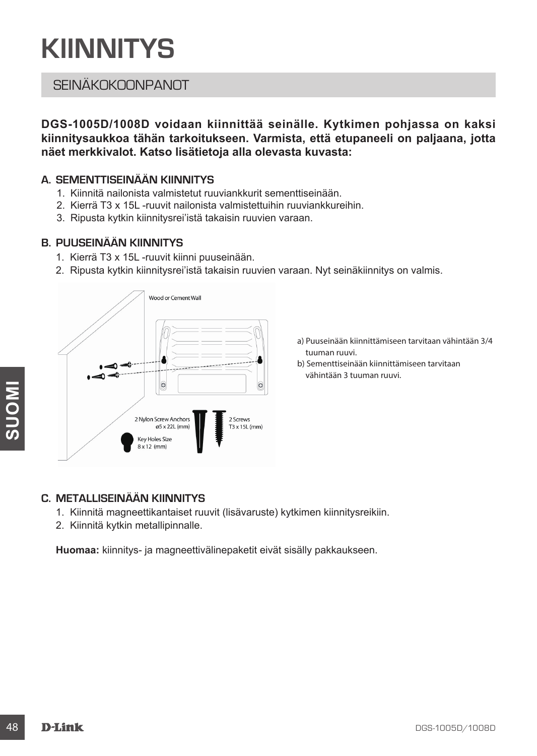# **KIINNITYS**

### **SEINÄKOKOONPANOT**

**DGS-1005D/1008D voidaan kiinnittää seinälle. Kytkimen pohjassa on kaksi kiinnitysaukkoa tähän tarkoitukseen. Varmista, että etupaneeli on paljaana, jotta näet merkkivalot. Katso lisätietoja alla olevasta kuvasta:**

#### **A. SEMENTTISEINÄÄN KIINNITYS**

- 1. Kiinnitä nailonista valmistetut ruuviankkurit sementtiseinään.
- 2. Kierrä T3 x 15L -ruuvit nailonista valmistettuihin ruuviankkureihin.
- 3. Ripusta kytkin kiinnitysrei'istä takaisin ruuvien varaan.

#### **B. PUUSEINÄÄN KIINNITYS**

- 1. Kierrä T3 x 15L -ruuvit kiinni puuseinään.
- 2. Ripusta kytkin kiinnitysrei'istä takaisin ruuvien varaan. Nyt seinäkiinnitys on valmis.



- a) Puuseinään kiinnittämiseen tarvitaan vähintään 3/4 tuuman ruuvi.
- b) Sementtiseinään kiinnittämiseen tarvitaan vähintään 3 tuuman ruuvi.

#### **C. METALLISEINÄÄN KIINNITYS**

- 1. Kiinnitä magneettikantaiset ruuvit (lisävaruste) kytkimen kiinnitysreikiin.
- 2. Kiinnitä kytkin metallipinnalle.

**Huomaa:** kiinnitys- ja magneettivälinepaketit eivät sisälly pakkaukseen.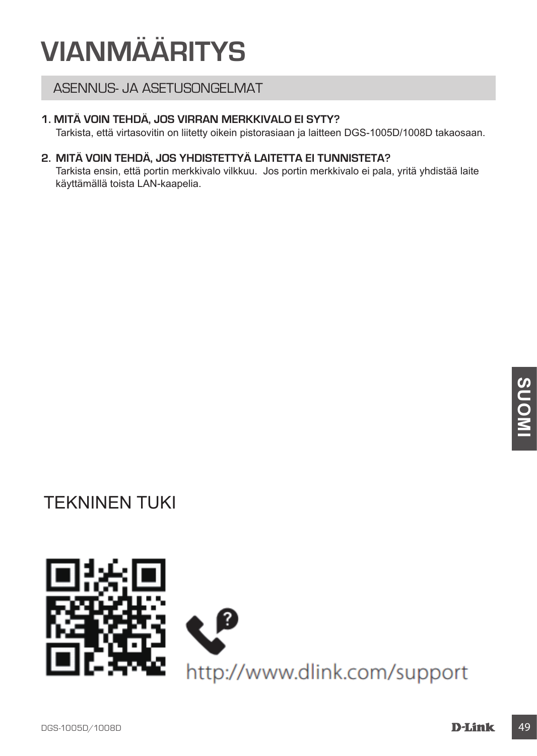# **VIANMÄÄRITYS**

### ASENNUS- JA ASETUSONGELMAT

#### **1. MITÄ VOIN TEHDÄ, JOS VIRRAN MERKKIVALO EI SYTY?**

Tarkista, että virtasovitin on liitetty oikein pistorasiaan ja laitteen DGS-1005D/1008D takaosaan.

#### **2. MITÄ VOIN TEHDÄ, JOS YHDISTETTYÄ LAITETTA EI TUNNISTETA?**

Tarkista ensin, että portin merkkivalo vilkkuu. Jos portin merkkivalo ei pala, yritä yhdistää laite käyttämällä toista LAN-kaapelia.

# TEKNINEN TUKI

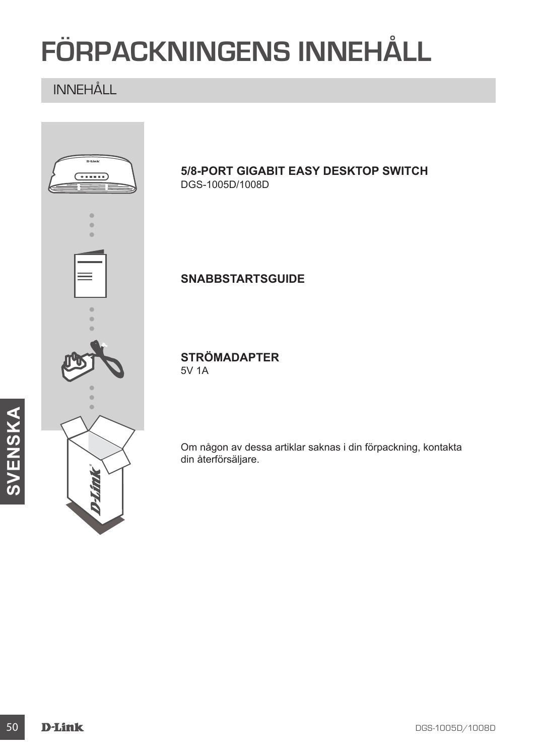# **FÖRPACKNINGENS INNEHÅLL**

# INNEHÅLL

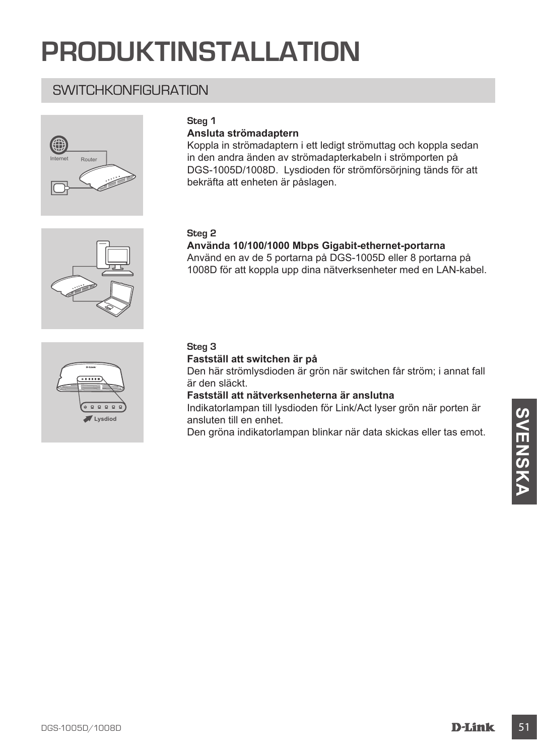# **PRODUKTINSTALLATION**

### SWITCHKONFIGURATION



#### **Steg 1**

#### **Ansluta strömadaptern**

Koppla in strömadaptern i ett ledigt strömuttag och koppla sedan in den andra änden av strömadapterkabeln i strömporten på DGS-1005D/1008D. Lysdioden för strömförsörjning tänds för att bekräfta att enheten är påslagen.

#### **Steg 2**

#### **Använda 10/100/1000 Mbps Gigabit-ethernet-portarna** Använd en av de 5 portarna på DGS-1005D eller 8 portarna på

1008D för att koppla upp dina nätverksenheter med en LAN-kabel.



#### **Steg 3**

#### **Fastställ att switchen är på**

Den här strömlysdioden är grön när switchen får ström; i annat fall är den släckt.

**Fastställ att nätverksenheterna är anslutna**

munkakunstillen en het.<br> **Den gröna indikatoriampan blinkar när data skickas eller tas emot.**<br>
Den gröna indikatoriampan blinkar när data skickas eller tas emot.<br>
D-Link 51 Indikatorlampan till lysdioden för Link/Act lyser grön när porten är ansluten till en enhet.

Den gröna indikatorlampan blinkar när data skickas eller tas emot.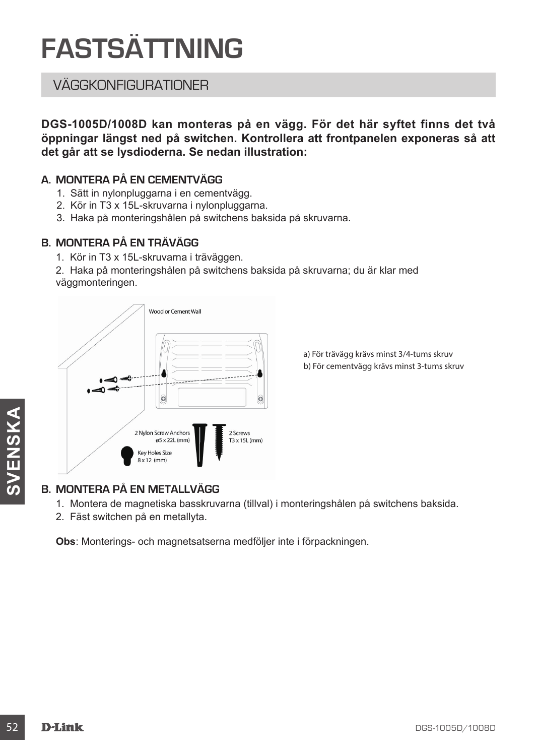# **FASTSÄTTNING**

### VÄGGKONFIGURATIONER

**DGS-1005D/1008D kan monteras på en vägg. För det här syftet finns det två öppningar längst ned på switchen. Kontrollera att frontpanelen exponeras så att det går att se lysdioderna. Se nedan illustration:**

#### **A. MONTERA PÅ EN CEMENTVÄGG**

- 1. Sätt in nylonpluggarna i en cementvägg.
- 2. Kör in T3 x 15L-skruvarna i nylonpluggarna.
- 3. Haka på monteringshålen på switchens baksida på skruvarna.

#### **B. MONTERA PÅ EN TRÄVÄGG**

- 1. Kör in T3 x 15L-skruvarna i träväggen.
- 2. Haka på monteringshålen på switchens baksida på skruvarna; du är klar med väggmonteringen.



a) För trävägg krävs minst 3/4-tums skruv

#### **B. MONTERA PÅ EN METALLVÄGG**

1. Montera de magnetiska basskruvarna (tillval) i monteringshålen på switchens baksida.

2. Fäst switchen på en metallyta.

**Obs**: Monterings- och magnetsatserna medföljer inte i förpackningen.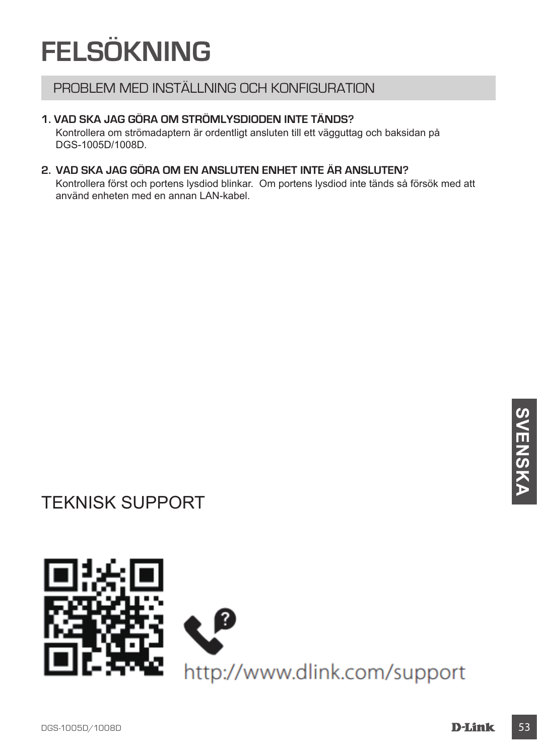# **FELSÖKNING**

### PROBLEM MED INSTÄLLNING OCH KONFIGURATION

#### **1. VAD SKA JAG GÖRA OM STRÖMLYSDIODEN INTE TÄNDS?**

Kontrollera om strömadaptern är ordentligt ansluten till ett vägguttag och baksidan på DGS-1005D/1008D.

#### **2. VAD SKA JAG GÖRA OM EN ANSLUTEN ENHET INTE ÄR ANSLUTEN?**

Kontrollera först och portens lysdiod blinkar. Om portens lysdiod inte tänds så försök med att använd enheten med en annan LAN-kabel.

# TEKNISK SUPPORT

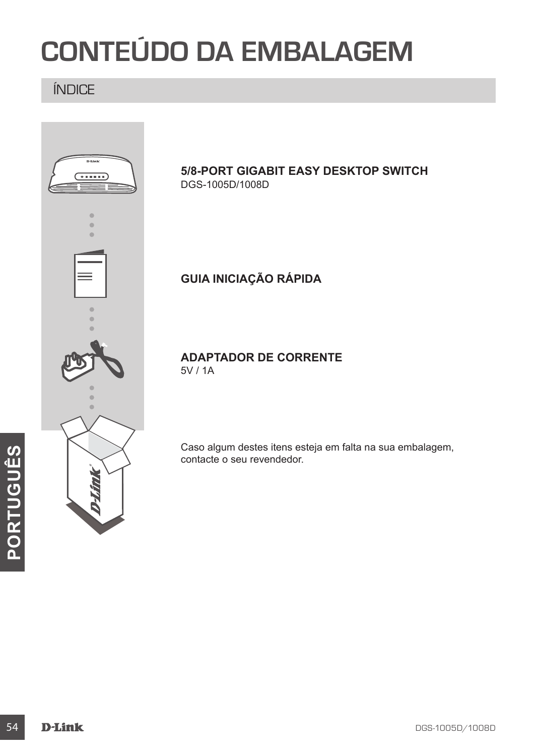# **CONTEÚDO DA EMBALAGEM**

### ÍNDICE

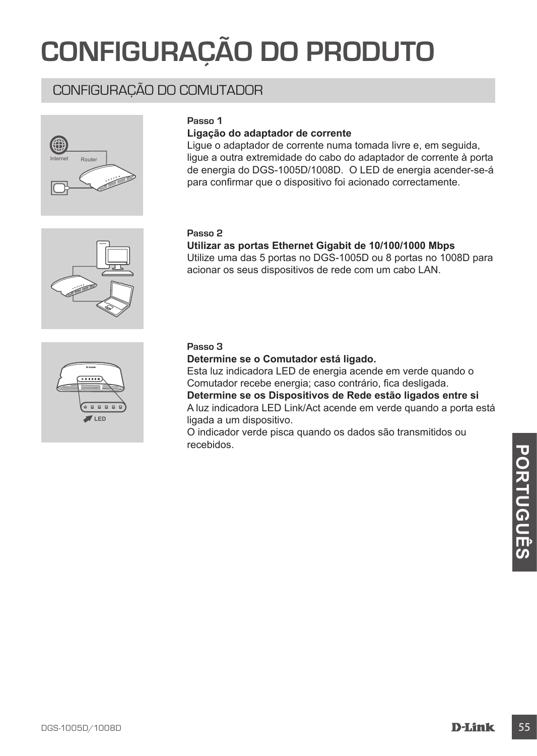# **CONFIGURAÇÃO DO PRODUTO**

### CONFIGURAÇÃO DO COMUTADOR



#### **Passo 1**

#### **Ligação do adaptador de corrente**

Ligue o adaptador de corrente numa tomada livre e, em seguida, ligue a outra extremidade do cabo do adaptador de corrente à porta de energia do DGS-1005D/1008D. O LED de energia acender-se-á para confirmar que o dispositivo foi acionado correctamente.

#### **Passo 2**

#### **Utilizar as portas Ethernet Gigabit de 10/100/1000 Mbps**

Utilize uma das 5 portas no DGS-1005D ou 8 portas no 1008D para acionar os seus dispositivos de rede com um cabo LAN.



#### **Passo 3**

**Determine se o Comutador está ligado.**

Esta luz indicadora LED de energia acende em verde quando o Comutador recebe energia; caso contrário, fica desligada. **Determine se os Dispositivos de Rede estão ligados entre si** A luz indicadora LED Link/Act acende em verde quando a porta está ligada a um dispositivo.

O indicador verde pisca quando os dados são transmitidos ou recebidos.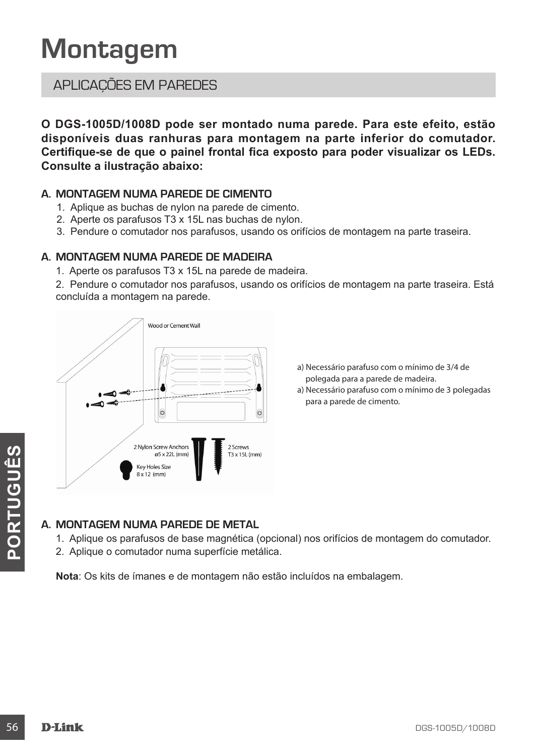# **Montagem**

### APLICAÇÕES EM PAREDES

**O DGS-1005D/1008D pode ser montado numa parede. Para este efeito, estão disponíveis duas ranhuras para montagem na parte inferior do comutador. Certifique-se de que o painel frontal fica exposto para poder visualizar os LEDs. Consulte a ilustração abaixo:**

#### **A. MONTAGEM NUMA PAREDE DE CIMENTO**

- 1. Aplique as buchas de nylon na parede de cimento.
- 2. Aperte os parafusos T3 x 15L nas buchas de nylon.
- 3. Pendure o comutador nos parafusos, usando os orifícios de montagem na parte traseira.

#### **A. MONTAGEM NUMA PAREDE DE MADEIRA**

1. Aperte os parafusos T3 x 15L na parede de madeira.

2. Pendure o comutador nos parafusos, usando os orifícios de montagem na parte traseira. Está concluída a montagem na parede.



- a) Necessário parafuso com o mínimo de 3/4 de polegada para a parede de madeira.
- a) Necessário parafuso com o mínimo de 3 polegadas para a parede de cimento.

#### **A. MONTAGEM NUMA PAREDE DE METAL**

- 1. Aplique os parafusos de base magnética (opcional) nos orifícios de montagem do comutador.
- 2. Aplique o comutador numa superfície metálica.

**Nota**: Os kits de ímanes e de montagem não estão incluídos na embalagem.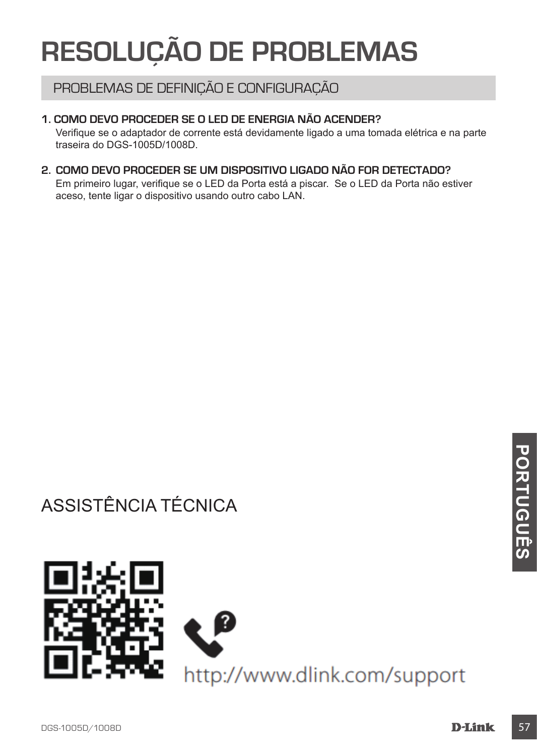# **RESOLUÇÃO DE PROBLEMAS**

### PROBLEMAS DE DEFINIÇÃO E CONFIGURAÇÃO

#### **1. COMO DEVO PROCEDER SE O LED DE ENERGIA NÃO ACENDER?**

Verifique se o adaptador de corrente está devidamente ligado a uma tomada elétrica e na parte traseira do DGS-1005D/1008D.

#### **2. COMO DEVO PROCEDER SE UM DISPOSITIVO LIGADO NÃO FOR DETECTADO?**

Em primeiro lugar, verifique se o LED da Porta está a piscar. Se o LED da Porta não estiver aceso, tente ligar o dispositivo usando outro cabo LAN.

# ASSISTÊNCIA TÉCNICA

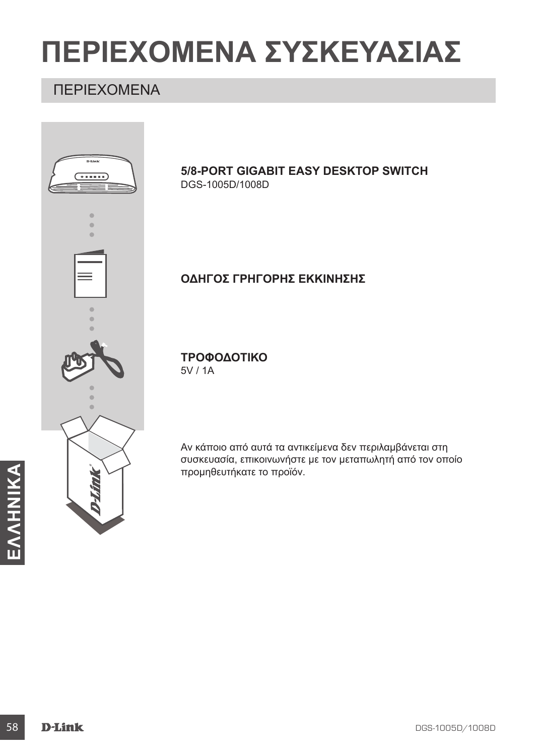# **ΠΕΡΙΕΧΟΜΕΝΑ ΣΥΣΚΕΥΑΣΙΑΣ**

### ΠΕΡΙΕΧΟΜΕΝΑ

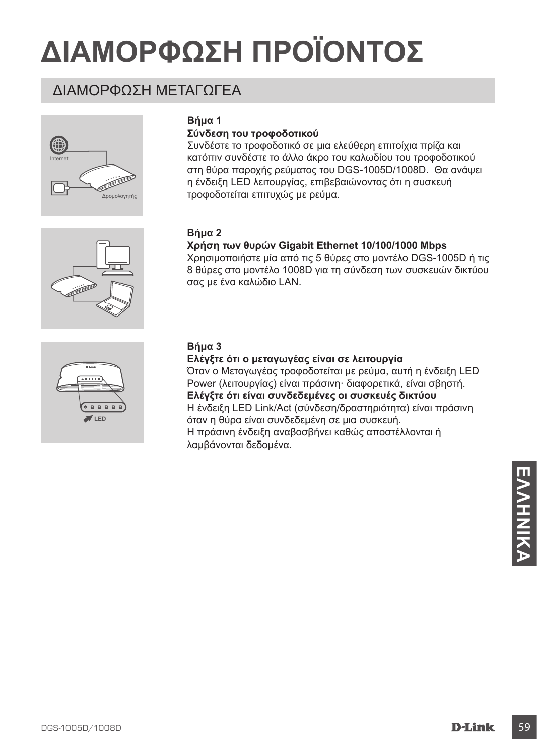# **ΔΙΑΜΟΡΦΩΣΗ ΠΡΟΪΟΝΤΟΣ**

### ΔΙΑΜΟΡΦΩΣΗ ΜΕΤΑΓΩΓΕΑ









#### **Σύνδεση του τροφοδοτικού**

Συνδέστε το τροφοδοτικό σε μια ελεύθερη επιτοίχια πρίζα και κατόπιν συνδέστε το άλλο άκρο του καλωδίου του τροφοδοτικού στη θύρα παροχής ρεύματος του DGS-1005D/1008D. Θα ανάψει η ένδειξη LED λειτουργίας, επιβεβαιώνοντας ότι η συσκευή τροφοδοτείται επιτυχώς με ρεύμα.

#### **Βήμα 2**

#### **Χρήση των θυρών Gigabit Ethernet 10/100/1000 Mbps**

Χρησιμοποιήστε μία από τις 5 θύρες στο μοντέλο DGS-1005D ή τις 8 θύρες στο μοντέλο 1008D για τη σύνδεση των συσκευών δικτύου σας με ένα καλώδιο LAN.



#### **Βήμα 3**

#### **Ελέγξτε ότι ο μεταγωγέας είναι σε λειτουργία**

Όταν ο Μεταγωγέας τροφοδοτείται με ρεύμα, αυτή η ένδειξη LED Power (λειτουργίας) είναι πράσινη· διαφορετικά, είναι σβηστή. **Ελέγξτε ότι είναι συνδεδεμένες οι συσκευές δικτύου** Η ένδειξη LED Link/Act (σύνδεση/δραστηριότητα) είναι πράσινη όταν η θύρα είναι συνδεδεμένη σε μια συσκευή. Η πράσινη ένδειξη αναβοσβήνει καθώς αποστέλλονται ή λαμβάνονται δεδομένα.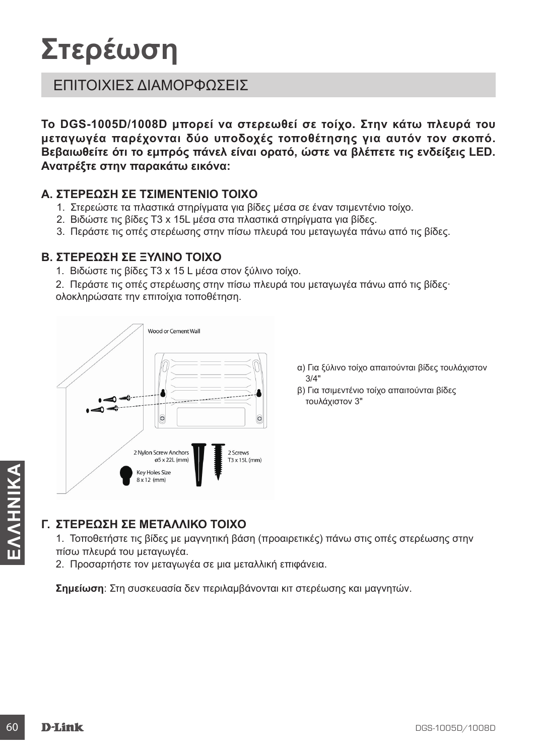# **Στερέωση**

### ΕΠΙΤΟΙΧΙΕΣ ΔΙΑΜΟΡΦΩΣΕΙΣ

**Το DGS-1005D/1008D μπορεί να στερεωθεί σε τοίχο. Στην κάτω πλευρά του μεταγωγέα παρέχονται δύο υποδοχές τοποθέτησης για αυτόν τον σκοπό. Βεβαιωθείτε ότι το εμπρός πάνελ είναι ορατό, ώστε να βλέπετε τις ενδείξεις LED. Ανατρέξτε στην παρακάτω εικόνα:**

#### **Α. ΣΤΕΡΕΩΣΗ ΣΕ ΤΣΙΜΕΝΤΕΝΙΟ ΤΟΙΧΟ**

- 1. Στερεώστε τα πλαστικά στηρίγματα για βίδες μέσα σε έναν τσιμεντένιο τοίχο.
- 2. Βιδώστε τις βίδες T3 x 15L μέσα στα πλαστικά στηρίγματα για βίδες.
- 3. Περάστε τις οπές στερέωσης στην πίσω πλευρά του μεταγωγέα πάνω από τις βίδες.

#### **Β. ΣΤΕΡΕΩΣΗ ΣΕ ΞΥΛΙΝΟ ΤΟΙΧΟ**

- 1. Βιδώστε τις βίδες T3 x 15 L μέσα στον ξύλινο τοίχο.
- 2. Περάστε τις οπές στερέωσης στην πίσω πλευρά του μεταγωγέα πάνω από τις βίδες· ολοκληρώσατε την επιτοίχια τοποθέτηση.



- α) Για ξύλινο τοίχο απαιτούνται βίδες τουλάχιστον 3/4"
- β) Για τσιμεντένιο τοίχο απαιτούνται βίδες τουλάχιστον 3"

#### **Γ. ΣΤΕΡΕΩΣΗ ΣΕ ΜΕΤΑΛΛΙΚΟ ΤΟΙΧΟ**

**EXAMPLE SAMPLE AND TO TO THE SAMPLE SAMPLE TO A SAMPLE SAMPLE TO A SAMPLE SAMPLE TO A TOTOGRAPHOTE TIC BIOEC LIB<br>
1. Torroθετήσε τις βίδες με μαγνητική βάση (προαιρετικές) πάνω στις οπές στερέωσης στην πότω πλευρά του με** 1. Τοποθετήστε τις βίδες με μαγνητική βάση (προαιρετικές) πάνω στις οπές στερέωσης στην πίσω πλευρά του μεταγωγέα.

2. Προσαρτήστε τον μεταγωγέα σε μια μεταλλική επιφάνεια.

**Σημείωση**: Στη συσκευασία δεν περιλαμβάνονται κιτ στερέωσης και μαγνητών.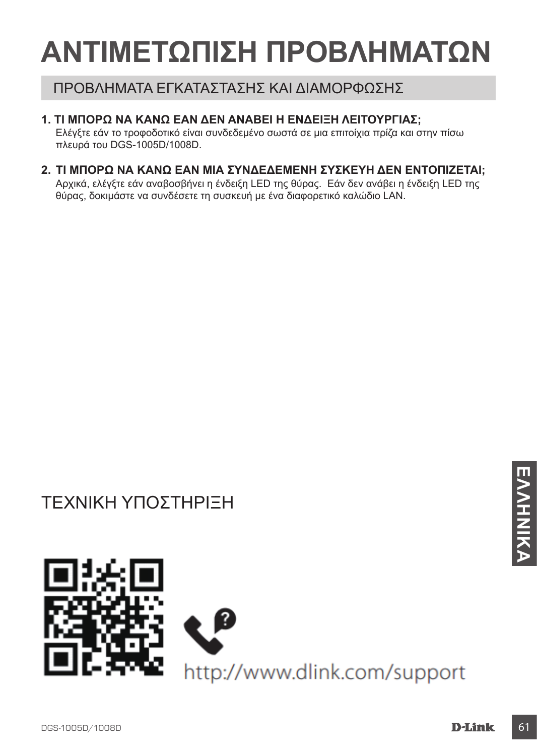# **ΑΝΤΙΜΕΤΩΠΙΣΗ ΠΡΟΒΛΗΜΑΤΩΝ**

### ΠΡΟΒΛΗΜΑΤΑ ΕΓΚΑΤΑΣΤΑΣΗΣ ΚΑΙ ΔΙΑΜΟΡΦΩΣΗΣ

#### **1. ΤΙ ΜΠΟΡΩ ΝΑ ΚΑΝΩ ΕΑΝ ΔΕΝ ΑΝΑΒΕΙ Η ΕΝΔΕΙΞΗ ΛΕΙΤΟΥΡΓΙΑΣ;**

Ελέγξτε εάν το τροφοδοτικό είναι συνδεδεμένο σωστά σε μια επιτοίχια πρίζα και στην πίσω πλευρά του DGS-1005D/1008D.

### **2. ΤΙ ΜΠΟΡΩ ΝΑ ΚΑΝΩ ΕΑΝ ΜΙΑ ΣΥΝΔΕΔΕΜΕΝΗ ΣΥΣΚΕΥΗ ΔΕΝ ΕΝΤΟΠΙΖΕΤΑΙ;**

Αρχικά, ελέγξτε εάν αναβοσβήνει η ένδειξη LED της θύρας. Εάν δεν ανάβει η ένδειξη LED της θύρας, δοκιμάστε να συνδέσετε τη συσκευή με ένα διαφορετικό καλώδιο LAN.

# ΤΕΧΝΙΚΗ ΥΠΟΣΤΗΡΙΞΗ

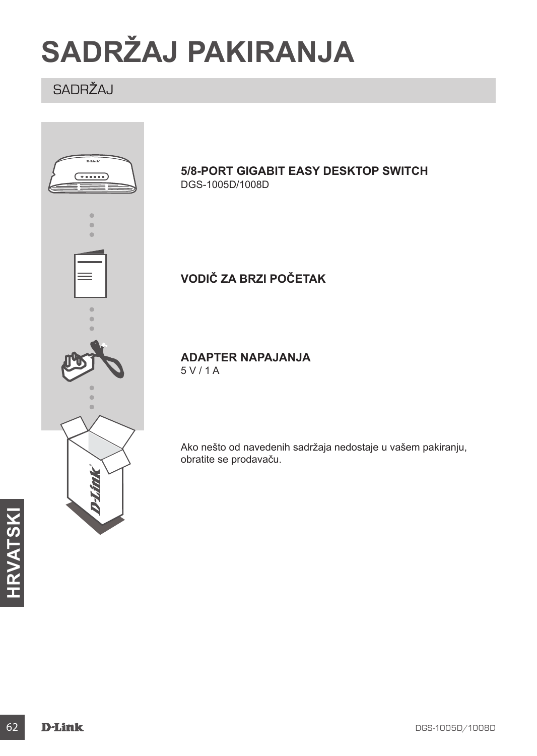# **SADRŽAJ PAKIRANJA**

# SADRŽAJ

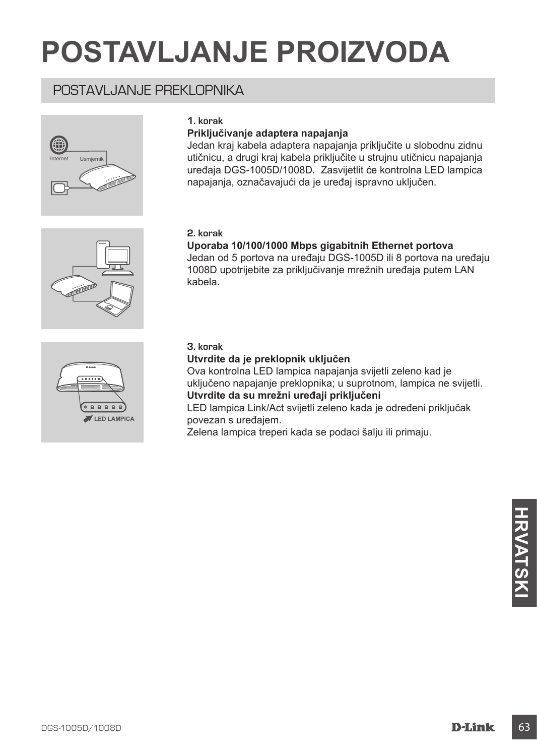# **POSTAVLJANJE PROIZVODA**

### POSTAVI JANJE PREKI OPNIKA



#### **1. korak**

#### **Priključivanje adaptera napajanja**

Jedan kraj kabela adaptera napajanja priključite u slobodnu zidnu utičnicu, a drugi kraj kabela priključite u strujnu utičnicu napajanja uređaja DGS-1005D/1008D. Zasvijetlit će kontrolna LED lampica napajanja, označavajući da je uređaj ispravno uključen.

#### **2. korak**

#### **Uporaba 10/100/1000 Mbps gigabitnih Ethernet portova**

Jedan od 5 portova na uređaju DGS-1005D ili 8 portova na uređaju 1008D upotrijebite za priključivanje mrežnih uređaja putem LAN kabela.



#### **3. korak**

#### **Utvrdite da je preklopnik uključen**

Ova kontrolna LED lampica napajanja svijetli zeleno kad je uključeno napajanje preklopnika; u suprotnom, lampica ne svijetli. **Utvrdite da su mrežni uređaji priključeni**

LED lampica Link/Act svijetli zeleno kada je određeni priključak povezan s uređajem.

Zelena lampica treperi kada se podaci šalju ili primaju.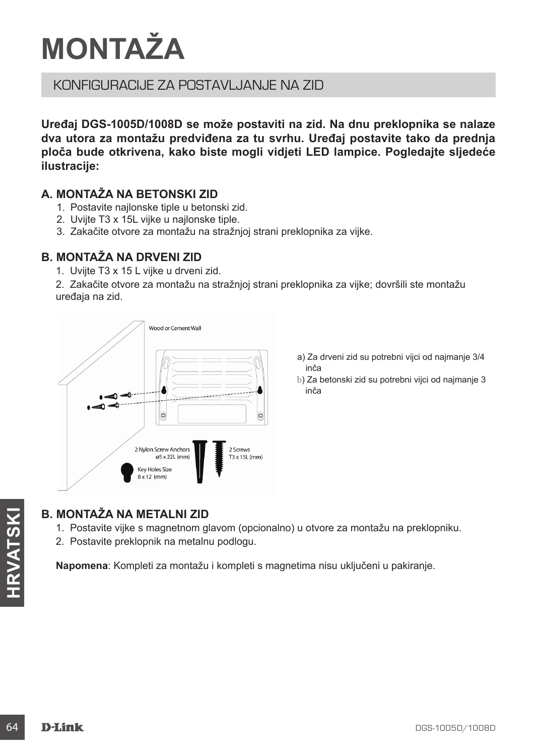# **MONTAŽA**

### KONFIGLIRACIJE ZA POSTAVLJANJE NA ZID

**Uređaj DGS-1005D/1008D se može postaviti na zid. Na dnu preklopnika se nalaze dva utora za montažu predviđena za tu svrhu. Uređaj postavite tako da prednja ploča bude otkrivena, kako biste mogli vidjeti LED lampice. Pogledajte sljedeće ilustracije:**

#### **A. MONTAŽA NA BETONSKI ZID**

- 1. Postavite najlonske tiple u betonski zid.
- 2. Uvijte T3 x 15L vijke u najlonske tiple.
- 3. Zakačite otvore za montažu na stražnjoj strani preklopnika za vijke.

#### **B. MONTAŽA NA DRVENI ZID**

1. Uvijte T3 x 15 L vijke u drveni zid.

2. Zakačite otvore za montažu na stražnjoj strani preklopnika za vijke; dovršili ste montažu uređaja na zid.



- a) Za drveni zid su potrebni vijci od najmanje 3/4 inča
- b) Za betonski zid su potrebni vijci od najmanje 3 inča

# **B. MONTAŽA NA METALNI ZID**

- **EXECUTE SE ANONTAŽA NA METALNI ZID**<br>
1. Postavite vijke s magnetinom glavom (opcionalno) u otvore za montažu na preklopniku.<br>
2. Postavite preklopnik na metalnu podlogu.<br> **Napomena:** Kompleti za montažu i kompleti s magne 1. Postavite vijke s magnetnom glavom (opcionalno) u otvore za montažu na preklopniku.
	- 2. Postavite preklopnik na metalnu podlogu.

**Napomena**: Kompleti za montažu i kompleti s magnetima nisu uključeni u pakiranje.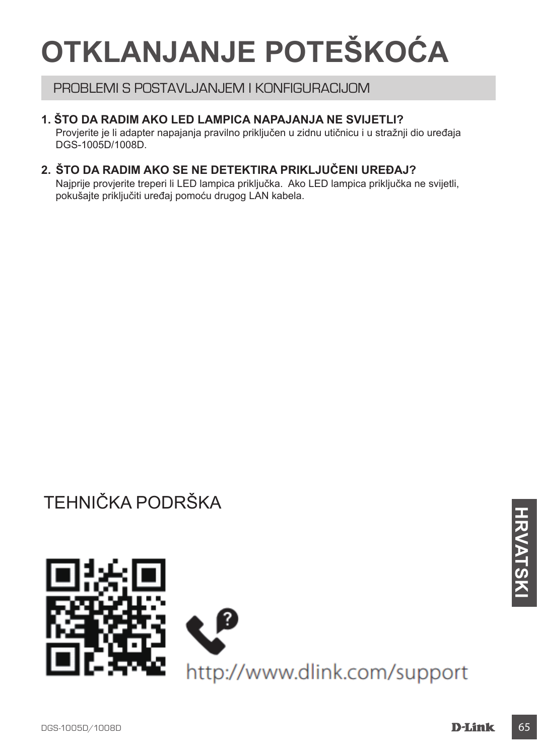# **OTKLANJANJE POTEŠKOĆA**

#### PROBLEMI S POSTAVLJANJEM I KONFIGURACIJOM

#### **1. ŠTO DA RADIM AKO LED LAMPICA NAPAJANJA NE SVIJETLI?**

Provjerite je li adapter napajanja pravilno priključen u zidnu utičnicu i u stražnji dio uređaja DGS-1005D/1008D.

#### **2. ŠTO DA RADIM AKO SE NE DETEKTIRA PRIKLJUČENI UREĐAJ?**

Najprije provjerite treperi li LED lampica priključka. Ako LED lampica priključka ne svijetli, pokušajte priključiti uređaj pomoću drugog LAN kabela.

# TEHNIČKA PODRŠKA

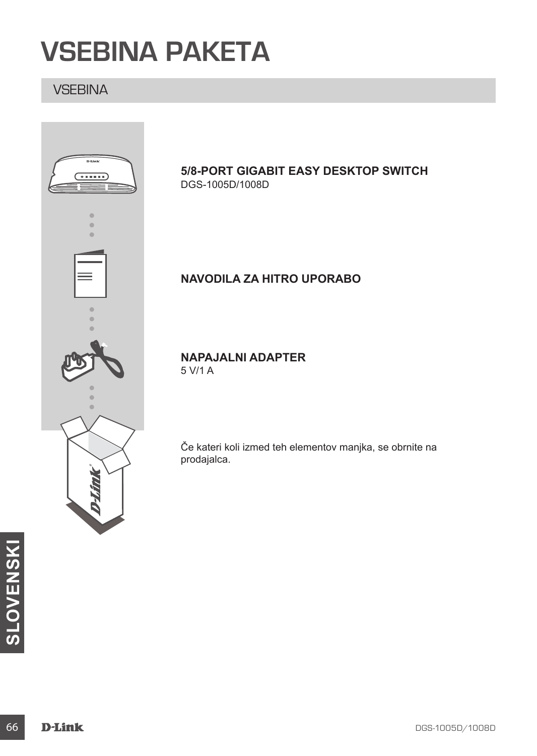# **VSEBINA PAKETA**

### **VSEBINA**



#### **5/8-PORT GIGABIT EASY DESKTOP SWITCH** DGS-1005D/1008D

### **NAVODILA ZA HITRO UPORABO**

**NAPAJALNI ADAPTER** 5 V/1 A

Če kateri koli izmed teh elementov manjka, se obrnite na prodajalca.

**66 D-Link**<br> **SLOWER SERVERSKIPS**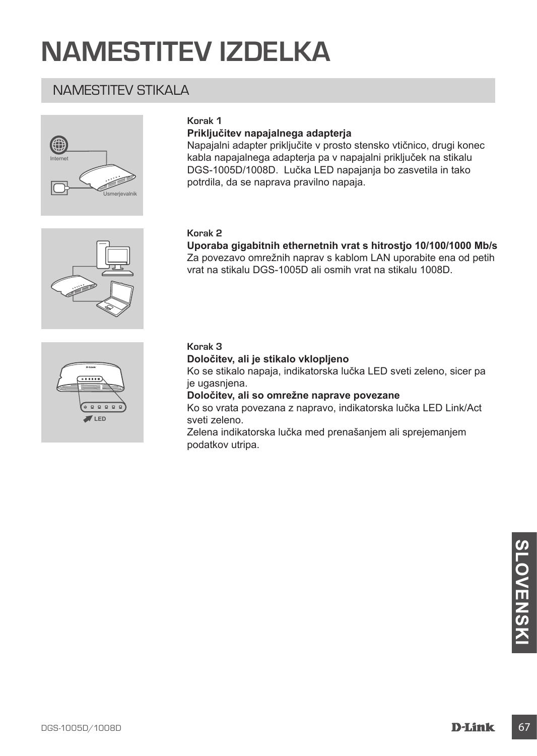# **NAMESTITEV IZDELKA**

### NAMESTITEV STIKALA



#### **Korak 1**

#### **Priključitev napajalnega adapterja**

Napajalni adapter priključite v prosto stensko vtičnico, drugi konec kabla napajalnega adapterja pa v napajalni priključek na stikalu DGS-1005D/1008D. Lučka LED napajanja bo zasvetila in tako potrdila, da se naprava pravilno napaja.

#### **Korak 2**

**Uporaba gigabitnih ethernetnih vrat s hitrostjo 10/100/1000 Mb/s** Za povezavo omrežnih naprav s kablom LAN uporabite ena od petih vrat na stikalu DGS-1005D ali osmih vrat na stikalu 1008D.





#### **Korak 3**

#### **Določitev, ali je stikalo vklopljeno**

Ko se stikalo napaja, indikatorska lučka LED sveti zeleno, sicer pa je ugasnjena.

**Določitev, ali so omrežne naprave povezane**

Ko so vrata povezana z napravo, indikatorska lučka LED Link/Act sveti zeleno.

Zelena indikatorska lučka med prenašanjem ali sprejemanjem podatkov utripa.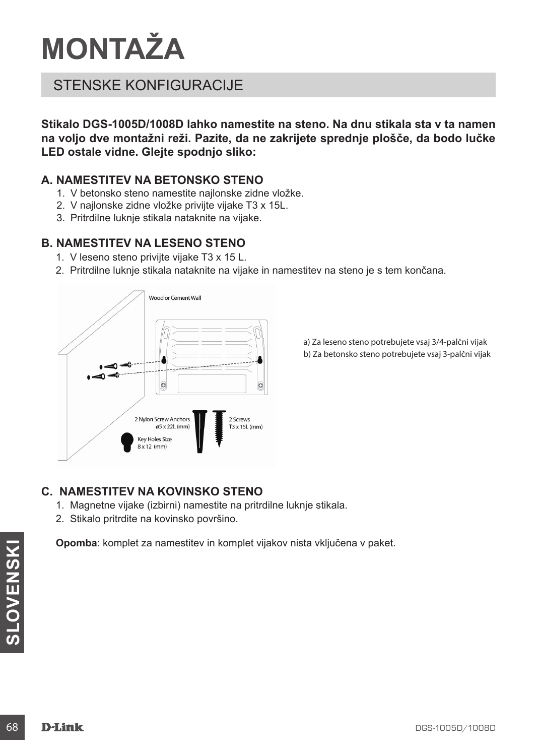# **MONTAŽA**

### STENSKE KONFIGURACIJE

**Stikalo DGS-1005D/1008D lahko namestite na steno. Na dnu stikala sta v ta namen na voljo dve montažni reži. Pazite, da ne zakrijete sprednje plošče, da bodo lučke LED ostale vidne. Glejte spodnjo sliko:**

#### **A. NAMESTITEV NA BETONSKO STENO**

- 1. V betonsko steno namestite najlonske zidne vložke.
- 2. V najlonske zidne vložke privijte vijake T3 x 15L.
- 3. Pritrdilne luknje stikala nataknite na vijake.

#### **B. NAMESTITEV NA LESENO STENO**

- 1. V leseno steno privijte vijake T3 x 15 L.
- 2. Pritrdilne luknje stikala nataknite na vijake in namestitev na steno je s tem končana.



a) Za leseno steno potrebujete vsaj 3/4-palčni vijak b) Za betonsko steno potrebujete vsaj 3-palčni vijak

#### **C. NAMESTITEV NA KOVINSKO STENO**

- 1. Magnetne vijake (izbirni) namestite na pritrdilne luknje stikala.
- 2. Stikalo pritrdite na kovinsko površino.

Opomba: komplet za namestitev in komplet vijakov nista vkljucena v paket.<br> **SLOVENSKI SLOVENSKI SLOVENSKI SUBARA SLOVENSKI SUBARA DES-1005D/1008D**<br> **D-Link Opomba**: komplet za namestitev in komplet vijakov nista vključena v paket.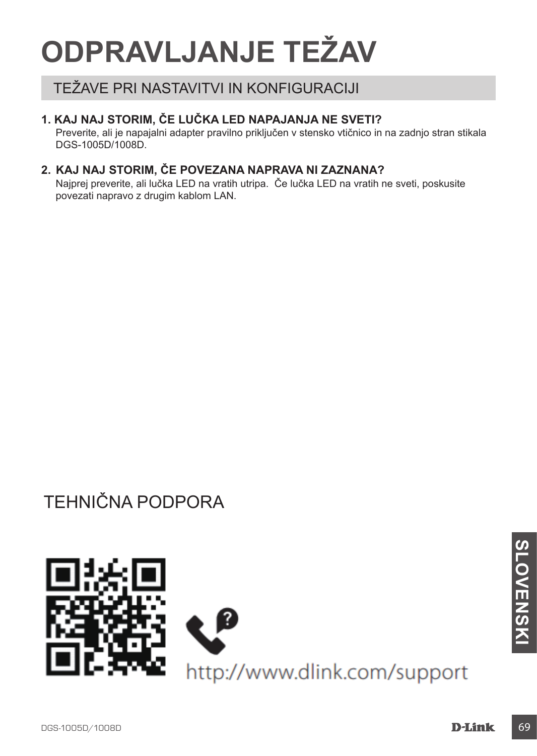# **ODPRAVLJANJE TEŽAV**

### TEŽAVE PRI NASTAVITVI IN KONFIGURACIJI

#### **1. KAJ NAJ STORIM, ČE LUČKA LED NAPAJANJA NE SVETI?**

Preverite, ali je napajalni adapter pravilno priključen v stensko vtičnico in na zadnjo stran stikala DGS-1005D/1008D.

### **2. KAJ NAJ STORIM, ČE POVEZANA NAPRAVA NI ZAZNANA?**

Najprej preverite, ali lučka LED na vratih utripa. Če lučka LED na vratih ne sveti, poskusite povezati napravo z drugim kablom LAN.

# TEHNIČNA PODPORA

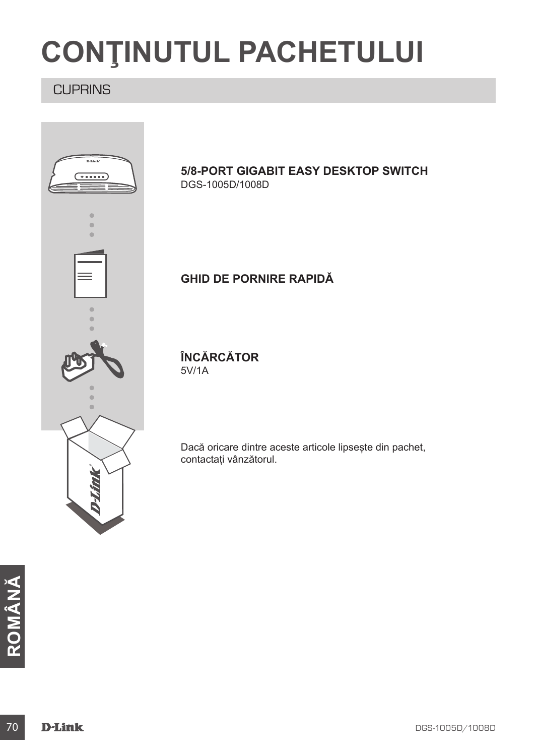# **CONŢINUTUL PACHETULUI**

### **CUPRINS**



**ROMÂNA**<br>TO **D-Link**<br>TO **D-Link**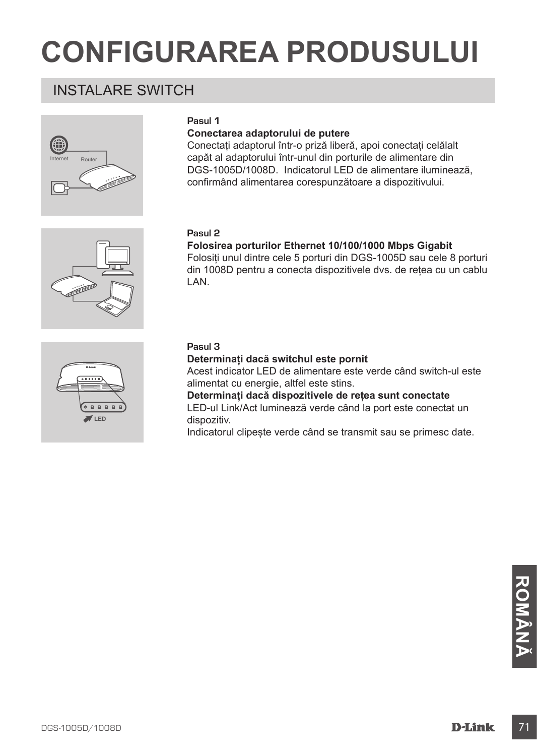# **CONFIGURAREA PRODUSULUI**

## INSTALARE SWITCH



#### **Pasul 1**

#### **Conectarea adaptorului de putere**

Conectați adaptorul într-o priză liberă, apoi conectați celălalt capăt al adaptorului într-unul din porturile de alimentare din DGS-1005D/1008D. Indicatorul LED de alimentare iluminează, confirmând alimentarea corespunzătoare a dispozitivului.

#### **Pasul 2**

#### **Folosirea porturilor Ethernet 10/100/1000 Mbps Gigabit**

Folosiți unul dintre cele 5 porturi din DGS-1005D sau cele 8 porturi din 1008D pentru a conecta dispozitivele dvs. de rețea cu un cablu LAN.



#### **Pasul 3**

#### **Determinați dacă switchul este pornit**

Acest indicator LED de alimentare este verde când switch-ul este alimentat cu energie, altfel este stins.

**Determinați dacă dispozitivele de rețea sunt conectate** LED-ul Link/Act luminează verde când la port este conectat un dispozitiv.

Indicatorul clipește verde când se transmit sau se primesc date.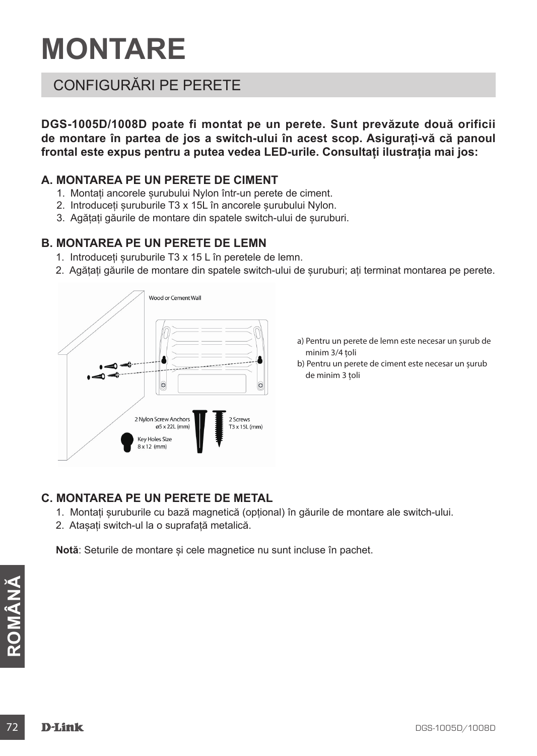# **MONTARE**

### CONFIGURĂRI PE PERETE

**DGS-1005D/1008D poate fi montat pe un perete. Sunt prevăzute două orificii de montare în partea de jos a switch-ului în acest scop. Asigurați-vă că panoul frontal este expus pentru a putea vedea LED-urile. Consultați ilustrația mai jos:**

#### **A. MONTAREA PE UN PERETE DE CIMENT**

- 1. Montați ancorele șurubului Nylon într-un perete de ciment.
- 2. Introduceți șuruburile T3 x 15L în ancorele șurubului Nylon.
- 3. Agățați găurile de montare din spatele switch-ului de șuruburi.

#### **B. MONTAREA PE UN PERETE DE LEMN**

- 1. Introduceți șuruburile T3 x 15 L în peretele de lemn.
- 2. Agățați găurile de montare din spatele switch-ului de șuruburi; ați terminat montarea pe perete.



- a) Pentru un perete de lemn este necesar un șurub de minim 3/4 țoli
- b) Pentru un perete de ciment este necesar un șurub de minim 3 țoli

#### **C. MONTAREA PE UN PERETE DE METAL**

- 1. Montați șuruburile cu bază magnetică (opțional) în găurile de montare ale switch-ului.
- 2. Atașați switch-ul la o suprafață metalică.

**Notă**: Seturile de montare și cele magnetice nu sunt incluse în pachet.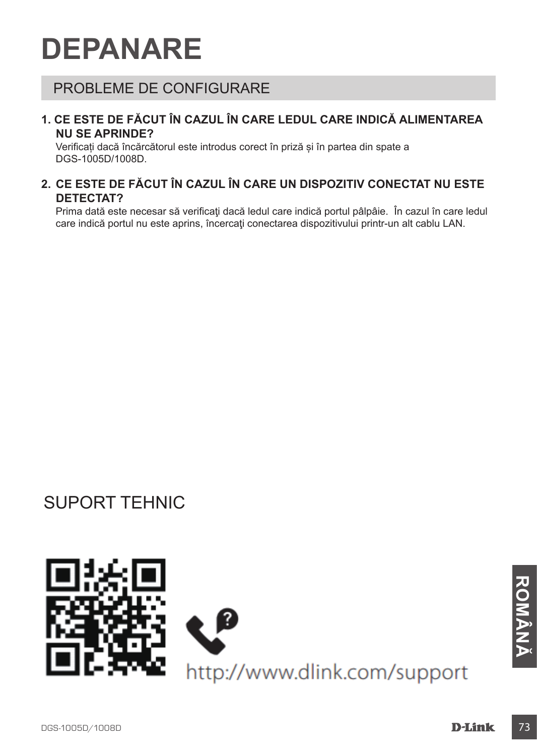# **DEPANARE**

# PROBLEME DE CONFIGURARE

#### **1. CE ESTE DE FĂCUT ÎN CAZUL ÎN CARE LEDUL CARE INDICĂ ALIMENTAREA NU SE APRINDE?**

Verificați dacă încărcătorul este introdus corect în priză și în partea din spate a DGS-1005D/1008D.

### **2. CE ESTE DE FĂCUT ÎN CAZUL ÎN CARE UN DISPOZITIV CONECTAT NU ESTE DETECTAT?**

Prima dată este necesar să verificați dacă ledul care indică portul pâlpâie. În cazul în care ledul care indică portul nu este aprins, încercaţi conectarea dispozitivului printr-un alt cablu LAN.

# SUPORT TEHNIC

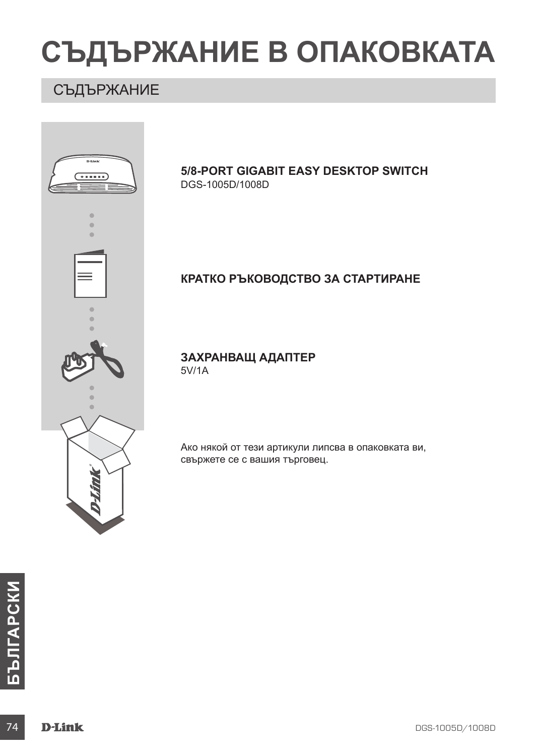# **СЪДЪРЖАНИЕ В ОПАКОВКАТА**

# СЪДЪРЖАНИЕ

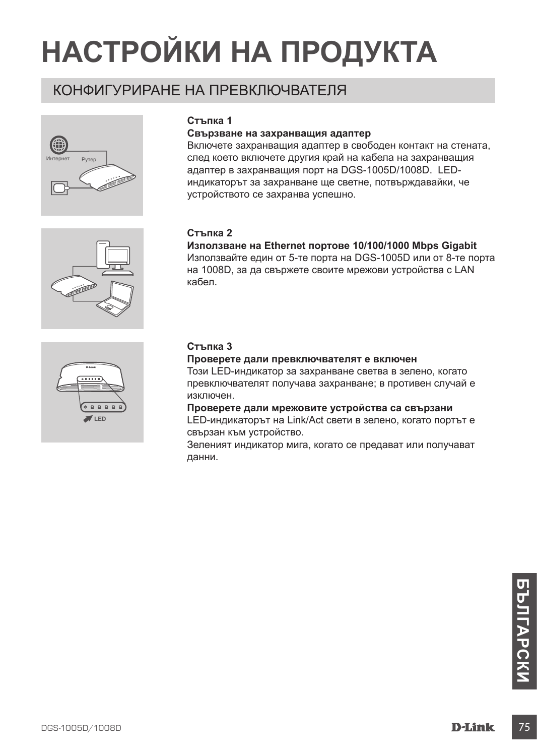# **НАСТРОЙКИ НА ПРОДУКТА**

# КОНФИГУРИРАНЕ НА ПРЕВКЛЮЧВАТЕЛЯ





#### **Свързване на захранващия адаптер**

Включете захранващия адаптер в свободен контакт на стената, след което включете другия край на кабела на захранващия адаптер в захранващия порт на DGS-1005D/1008D. LEDиндикаторът за захранване ще светне, потвърждавайки, че устройството се захранва успешно.

#### **Стъпка 2**

**Използване на Ethernet портове 10/100/1000 Mbps Gigabit** Използвайте един от 5-те порта на DGS-1005D или от 8-те порта на 1008D, за да свържете своите мрежови устройства с LAN кабел.



#### **Стъпка 3**

**Проверете дали превключвателят е включен**

Този LED-индикатор за захранване светва в зелено, когато превключвателят получава захранване; в противен случай е изключен.

**Проверете дали мрежовите устройства са свързани** LED-индикаторът на Link/Act свети в зелено, когато портът е свързан към устройство.

Зеленият индикатор мига, когато се предават или получават данни.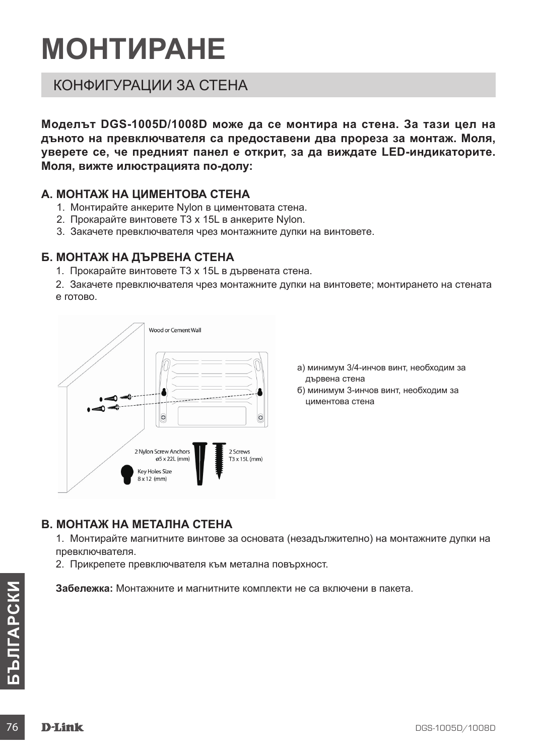# **МОНТИРАНЕ**

# КОНФИГУРАЦИИ ЗА СТЕНА

**Моделът DGS-1005D/1008D може да се монтира на стена. За тази цел на дъното на превключвателя са предоставени два прореза за монтаж. Моля, уверете се, че предният панел е открит, за да виждате LED-индикаторите. Моля, вижте илюстрацията по-долу:**

#### **A. МОНТАЖ НА ЦИМЕНТОВА СТЕНА**

- 1. Монтирайте анкерите Nylon в циментовата стена.
- 2. Прокарайте винтовете T3 x 15L в анкерите Nylon.
- 3. Закачете превключвателя чрез монтажните дупки на винтовете.

### **Б. МОНТАЖ НА ДЪРВЕНА СТЕНА**

- 1. Прокарайте винтовете T3 x 15L в дървената стена.
- 2. Закачете превключвателя чрез монтажните дупки на винтовете; монтирането на стената е готово.



- а) минимум 3/4-инчов винт, необходим за дървена стена
- б) минимум 3-инчов винт, необходим за циментова стена

### **В. МОНТАЖ НА МЕТАЛНА СТЕНА**

1. Монтирайте магнитните винтове за основата (незадължително) на монтажните дупки на превключвателя.

2. Прикрепете превключвателя към метална повърхност.

**Забележка:** Монтажните и магнитните комплекти не са включени в пакета.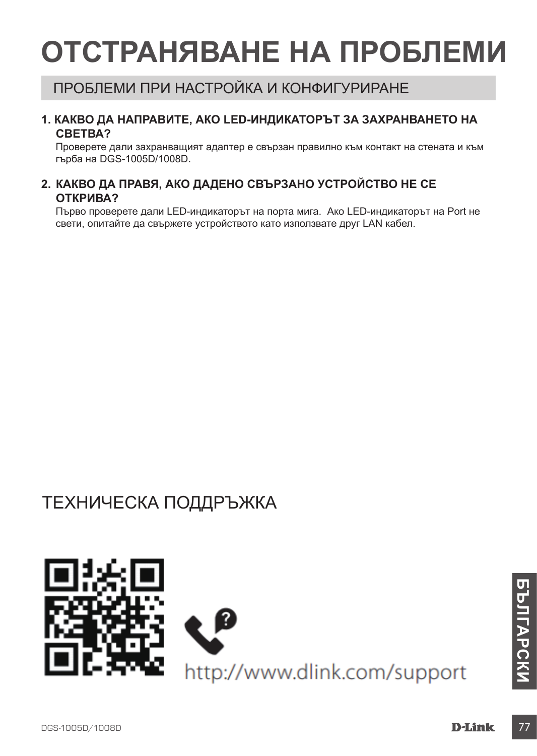# **ОТСТРАНЯВАНЕ НА ПРОБЛЕМИ**

# ПРОБЛЕМИ ПРИ НАСТРОЙКА И КОНФИГУРИРАНЕ

#### **1. КАКВО ДА НАПРАВИТЕ, АКО LED-ИНДИКАТОРЪТ ЗА ЗАХРАНВАНЕТО НА СВЕТВА?**

Проверете дали захранващият адаптер е свързан правилно към контакт на стената и към гърба на DGS-1005D/1008D.

### **2. КАКВО ДА ПРАВЯ, АКО ДАДЕНО СВЪРЗАНО УСТРОЙСТВО НЕ СЕ ОТКРИВА?**

Първо проверете дали LED-индикаторът на порта мига. Ако LED-индикаторът на Port не свети, опитайте да свържете устройството като използвате друг LAN кабел.

# ТЕХНИЧЕСКА ПОДДРЪЖКА

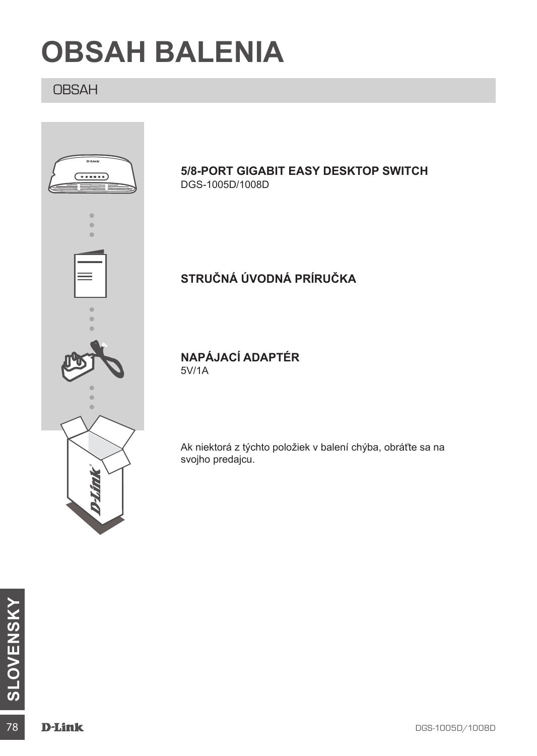# **OBSAH BALENIA**

# **OBSAH**



### **5/8-PORT GIGABIT EASY DESKTOP SWITCH** DGS-1005D/1008D

# **STRUČNÁ ÚVODNÁ PRÍRUČKA**

**NAPÁJACÍ ADAPTÉR** 5V/1A

Ak niektorá z týchto položiek v balení chýba, obráťte sa na svojho predajcu.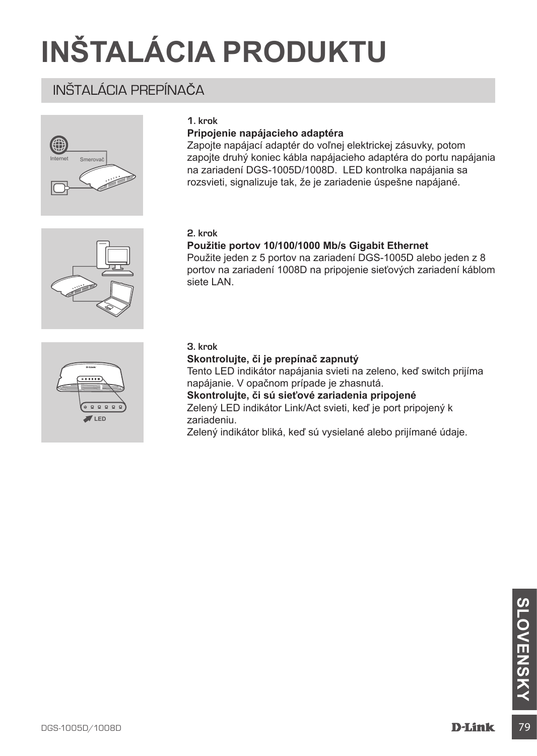# **INŠTALÁCIA PRODUKTU**

# INŠTALÁCIA PREPÍNAČA



#### **1. krok**

#### **Pripojenie napájacieho adaptéra**

Zapojte napájací adaptér do voľnej elektrickej zásuvky, potom zapojte druhý koniec kábla napájacieho adaptéra do portu napájania na zariadení DGS-1005D/1008D. LED kontrolka napájania sa rozsvieti, signalizuje tak, že je zariadenie úspešne napájané.

#### **2. krok**

#### **Použitie portov 10/100/1000 Mb/s Gigabit Ethernet**

Použite jeden z 5 portov na zariadení DGS-1005D alebo jeden z 8 portov na zariadení 1008D na pripojenie sieťových zariadení káblom siete LAN.



#### **3. krok**

#### **Skontrolujte, či je prepínač zapnutý**

Tento LED indikátor napájania svieti na zeleno, keď switch prijíma napájanie. V opačnom prípade je zhasnutá. **Skontrolujte, či sú sieťové zariadenia pripojené**

Zelený LED indikátor Link/Act svieti, keď je port pripojený k zariadeniu.

Zelený indikátor bliká, keď sú vysielané alebo prijímané údaje.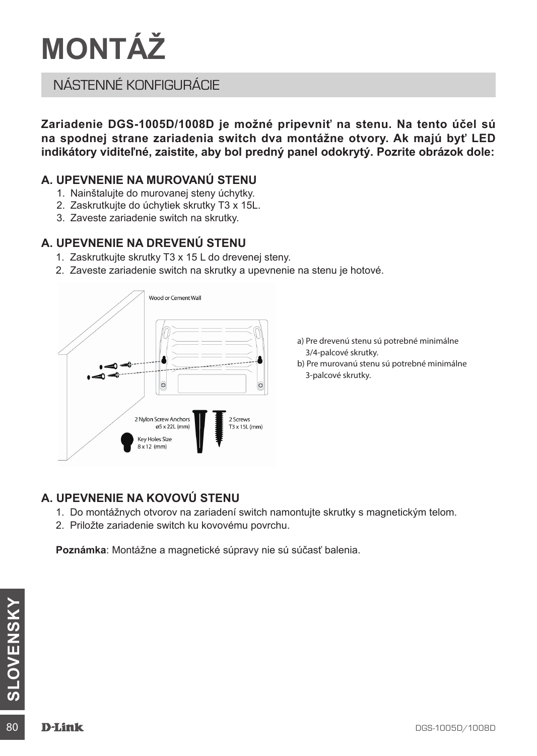# **MONTÁŽ**

# NÁSTENNÉ KONFIGURÁCIE

**Zariadenie DGS-1005D/1008D je možné pripevniť na stenu. Na tento účel sú na spodnej strane zariadenia switch dva montážne otvory. Ak majú byť LED indikátory viditeľné, zaistite, aby bol predný panel odokrytý. Pozrite obrázok dole:**

### **A. UPEVNENIE NA MUROVANÚ STENU**

- 1. Nainštalujte do murovanej steny úchytky.
- 2. Zaskrutkujte do úchytiek skrutky T3 x 15L.
- 3. Zaveste zariadenie switch na skrutky.

### **A. UPEVNENIE NA DREVENÚ STENU**

- 1. Zaskrutkujte skrutky T3 x 15 L do drevenej steny.
- 2. Zaveste zariadenie switch na skrutky a upevnenie na stenu je hotové.



- a) Pre drevenú stenu sú potrebné minimálne 3/4-palcové skrutky.
- b) Pre murovanú stenu sú potrebné minimálne 3-palcové skrutky.

## **A. UPEVNENIE NA KOVOVÚ STENU**

- 1. Do montážnych otvorov na zariadení switch namontujte skrutky s magnetickým telom.
- 2. Priložte zariadenie switch ku kovovému povrchu.

**Poznámka**: Montážne a magnetické súpravy nie sú súčasť balenia.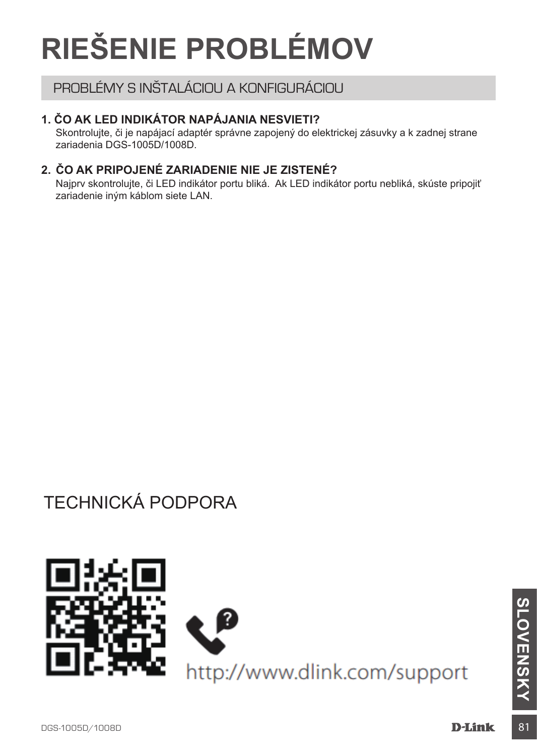# **RIEŠENIE PROBLÉMOV**

# PROBLÉMY S INŠTALÁCIOU A KONFIGURÁCIOU

### **1. ČO AK LED INDIKÁTOR NAPÁJANIA NESVIETI?**

Skontrolujte, či je napájací adaptér správne zapojený do elektrickej zásuvky a k zadnej strane zariadenia DGS-1005D/1008D.

### **2. ČO AK PRIPOJENÉ ZARIADENIE NIE JE ZISTENÉ?**

Najprv skontrolujte, či LED indikátor portu bliká. Ak LED indikátor portu nebliká, skúste pripojiť zariadenie iným káblom siete LAN.

# TECHNICKÁ PODPORA